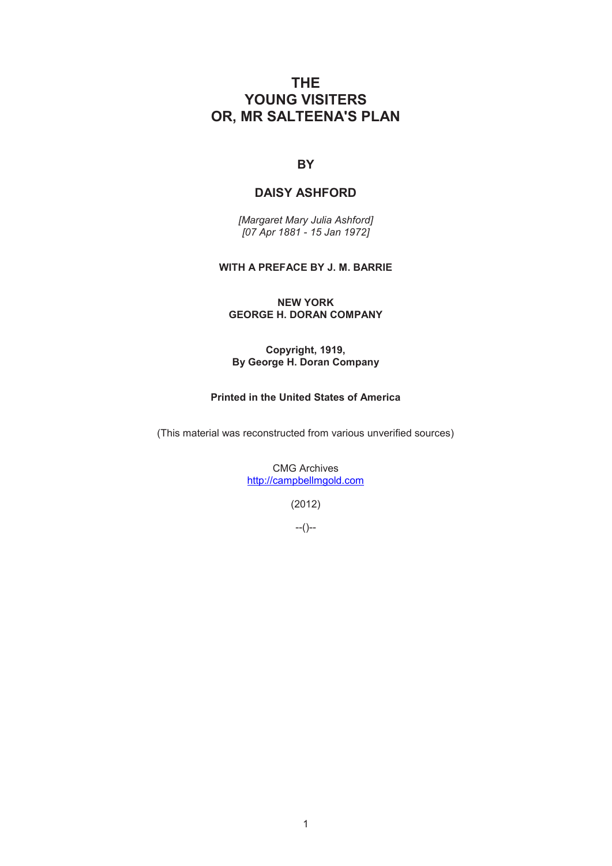# **THE YOUNG VISITERS OR, MR SALTEENA'S PLAN**

## **BY**

## **DAISY ASHFORD**

*[Margaret Mary Julia Ashford] [07 Apr 1881 - 15 Jan 1972]* 

## **WITH A PREFACE BY J. M. BARRIE**

**NEW YORK GEORGE H. DORAN COMPANY** 

**Copyright, 1919, By George H. Doran Company** 

## **Printed in the United States of America**

(This material was reconstructed from various unverified sources)

CMG Archives http://campbellmgold.com

(2012)

--()--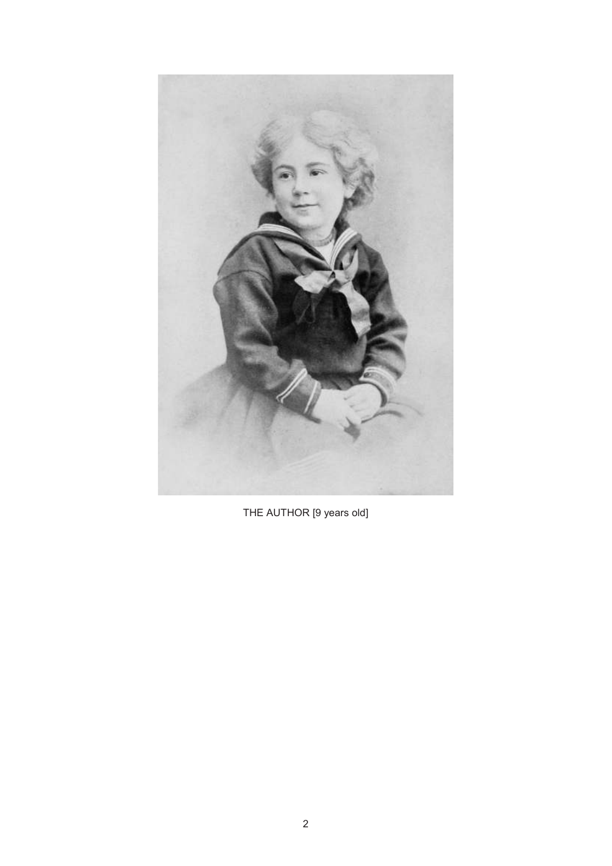

THE AUTHOR [9 years old]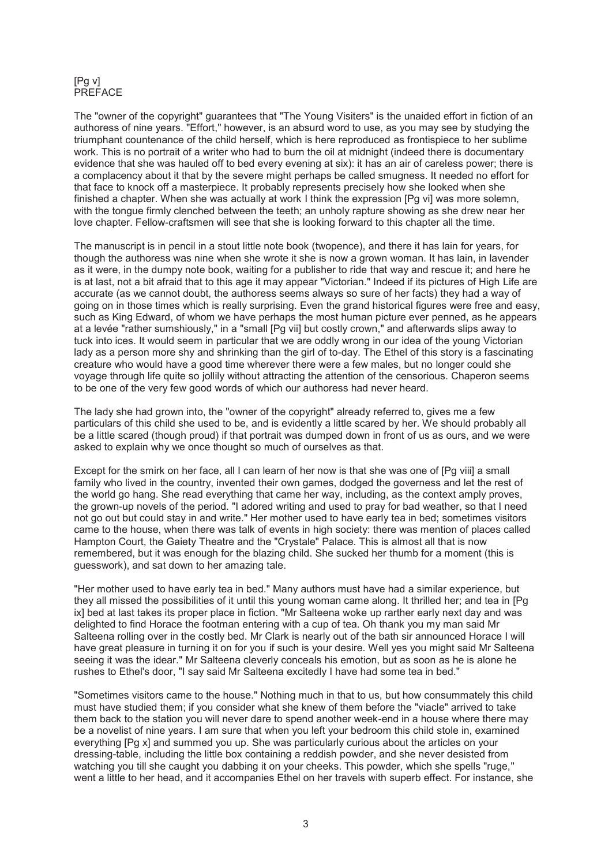#### [Pg v] PREFACE

The "owner of the copyright" guarantees that "The Young Visiters" is the unaided effort in fiction of an authoress of nine years. "Effort," however, is an absurd word to use, as you may see by studying the triumphant countenance of the child herself, which is here reproduced as frontispiece to her sublime work. This is no portrait of a writer who had to burn the oil at midnight (indeed there is documentary evidence that she was hauled off to bed every evening at six): it has an air of careless power; there is a complacency about it that by the severe might perhaps be called smugness. It needed no effort for that face to knock off a masterpiece. It probably represents precisely how she looked when she finished a chapter. When she was actually at work I think the expression [Pq vi] was more solemn, with the tongue firmly clenched between the teeth; an unholy rapture showing as she drew near her love chapter. Fellow-craftsmen will see that she is looking forward to this chapter all the time.

The manuscript is in pencil in a stout little note book (twopence), and there it has lain for years, for though the authoress was nine when she wrote it she is now a grown woman. It has lain, in lavender as it were, in the dumpy note book, waiting for a publisher to ride that way and rescue it; and here he is at last, not a bit afraid that to this age it may appear "Victorian." Indeed if its pictures of High Life are accurate (as we cannot doubt, the authoress seems always so sure of her facts) they had a way of going on in those times which is really surprising. Even the grand historical figures were free and easy, such as King Edward, of whom we have perhaps the most human picture ever penned, as he appears at a levée "rather sumshiously," in a "small [Pg vii] but costly crown," and afterwards slips away to tuck into ices. It would seem in particular that we are oddly wrong in our idea of the young Victorian lady as a person more shy and shrinking than the girl of to-day. The Ethel of this story is a fascinating creature who would have a good time wherever there were a few males, but no longer could she voyage through life quite so jollily without attracting the attention of the censorious. Chaperon seems to be one of the very few good words of which our authoress had never heard.

The lady she had grown into, the "owner of the copyright" already referred to, gives me a few particulars of this child she used to be, and is evidently a little scared by her. We should probably all be a little scared (though proud) if that portrait was dumped down in front of us as ours, and we were asked to explain why we once thought so much of ourselves as that.

Except for the smirk on her face, all I can learn of her now is that she was one of [Pg viii] a small family who lived in the country, invented their own games, dodged the governess and let the rest of the world go hang. She read everything that came her way, including, as the context amply proves, the grown-up novels of the period. "I adored writing and used to pray for bad weather, so that I need not go out but could stay in and write." Her mother used to have early tea in bed; sometimes visitors came to the house, when there was talk of events in high society: there was mention of places called Hampton Court, the Gaiety Theatre and the "Crystale" Palace. This is almost all that is now remembered, but it was enough for the blazing child. She sucked her thumb for a moment (this is guesswork), and sat down to her amazing tale.

"Her mother used to have early tea in bed." Many authors must have had a similar experience, but they all missed the possibilities of it until this young woman came along. It thrilled her; and tea in [Pg ix] bed at last takes its proper place in fiction. "Mr Salteena woke up rarther early next day and was delighted to find Horace the footman entering with a cup of tea. Oh thank you my man said Mr Salteena rolling over in the costly bed. Mr Clark is nearly out of the bath sir announced Horace I will have great pleasure in turning it on for you if such is your desire. Well yes you might said Mr Salteena seeing it was the idear." Mr Salteena cleverly conceals his emotion, but as soon as he is alone he rushes to Ethel's door, "I say said Mr Salteena excitedly I have had some tea in bed."

"Sometimes visitors came to the house." Nothing much in that to us, but how consummately this child must have studied them; if you consider what she knew of them before the "viacle" arrived to take them back to the station you will never dare to spend another week-end in a house where there may be a novelist of nine years. I am sure that when you left your bedroom this child stole in, examined everything [Pg x] and summed you up. She was particularly curious about the articles on your dressing-table, including the little box containing a reddish powder, and she never desisted from watching you till she caught you dabbing it on your cheeks. This powder, which she spells "ruge," went a little to her head, and it accompanies Ethel on her travels with superb effect. For instance, she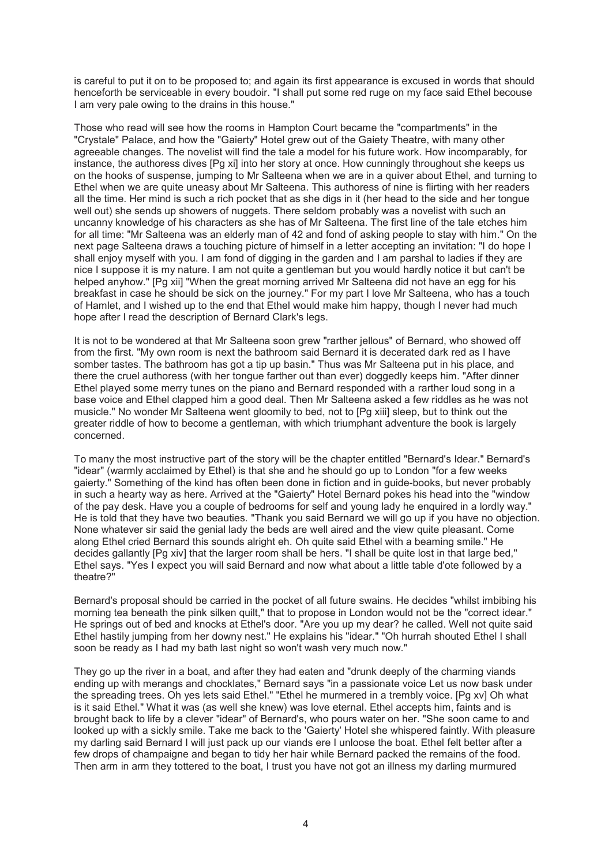is careful to put it on to be proposed to; and again its first appearance is excused in words that should henceforth be serviceable in every boudoir. "I shall put some red ruge on my face said Ethel becouse I am very pale owing to the drains in this house."

Those who read will see how the rooms in Hampton Court became the "compartments" in the "Crystale" Palace, and how the "Gaierty" Hotel grew out of the Gaiety Theatre, with many other agreeable changes. The novelist will find the tale a model for his future work. How incomparably, for instance, the authoress dives [Pg xi] into her story at once. How cunningly throughout she keeps us on the hooks of suspense, jumping to Mr Salteena when we are in a quiver about Ethel, and turning to Ethel when we are quite uneasy about Mr Salteena. This authoress of nine is flirting with her readers all the time. Her mind is such a rich pocket that as she digs in it (her head to the side and her tongue well out) she sends up showers of nuggets. There seldom probably was a novelist with such an uncanny knowledge of his characters as she has of Mr Salteena. The first line of the tale etches him for all time: "Mr Salteena was an elderly man of 42 and fond of asking people to stay with him." On the next page Salteena draws a touching picture of himself in a letter accepting an invitation: "I do hope I shall enjoy myself with you. I am fond of digging in the garden and I am parshal to ladies if they are nice I suppose it is my nature. I am not quite a gentleman but you would hardly notice it but can't be helped anyhow." [Pg xii] "When the great morning arrived Mr Salteena did not have an egg for his breakfast in case he should be sick on the journey." For my part I love Mr Salteena, who has a touch of Hamlet, and I wished up to the end that Ethel would make him happy, though I never had much hope after I read the description of Bernard Clark's legs.

It is not to be wondered at that Mr Salteena soon grew "rarther jellous" of Bernard, who showed off from the first. "My own room is next the bathroom said Bernard it is decerated dark red as I have somber tastes. The bathroom has got a tip up basin." Thus was Mr Salteena put in his place, and there the cruel authoress (with her tongue farther out than ever) doggedly keeps him. "After dinner Ethel played some merry tunes on the piano and Bernard responded with a rarther loud song in a base voice and Ethel clapped him a good deal. Then Mr Salteena asked a few riddles as he was not musicle." No wonder Mr Salteena went gloomily to bed, not to [Pg xiii] sleep, but to think out the greater riddle of how to become a gentleman, with which triumphant adventure the book is largely concerned.

To many the most instructive part of the story will be the chapter entitled "Bernard's Idear." Bernard's "idear" (warmly acclaimed by Ethel) is that she and he should go up to London "for a few weeks gaierty." Something of the kind has often been done in fiction and in guide-books, but never probably in such a hearty way as here. Arrived at the "Gaierty" Hotel Bernard pokes his head into the "window of the pay desk. Have you a couple of bedrooms for self and young lady he enquired in a lordly way." He is told that they have two beauties. "Thank you said Bernard we will go up if you have no objection. None whatever sir said the genial lady the beds are well aired and the view quite pleasant. Come along Ethel cried Bernard this sounds alright eh. Oh quite said Ethel with a beaming smile." He decides gallantly [Pg xiv] that the larger room shall be hers. "I shall be quite lost in that large bed," Ethel says. "Yes I expect you will said Bernard and now what about a little table d'ote followed by a theatre?"

Bernard's proposal should be carried in the pocket of all future swains. He decides "whilst imbibing his morning tea beneath the pink silken quilt," that to propose in London would not be the "correct idear." He springs out of bed and knocks at Ethel's door. "Are you up my dear? he called. Well not quite said Ethel hastily jumping from her downy nest." He explains his "idear." "Oh hurrah shouted Ethel I shall soon be ready as I had my bath last night so won't wash very much now."

They go up the river in a boat, and after they had eaten and "drunk deeply of the charming viands ending up with merangs and chocklates," Bernard says "in a passionate voice Let us now bask under the spreading trees. Oh yes lets said Ethel." "Ethel he murmered in a trembly voice. [Pg xv] Oh what is it said Ethel." What it was (as well she knew) was love eternal. Ethel accepts him, faints and is brought back to life by a clever "idear" of Bernard's, who pours water on her. "She soon came to and looked up with a sickly smile. Take me back to the 'Gaierty' Hotel she whispered faintly. With pleasure my darling said Bernard I will just pack up our viands ere I unloose the boat. Ethel felt better after a few drops of champaigne and began to tidy her hair while Bernard packed the remains of the food. Then arm in arm they tottered to the boat, I trust you have not got an illness my darling murmured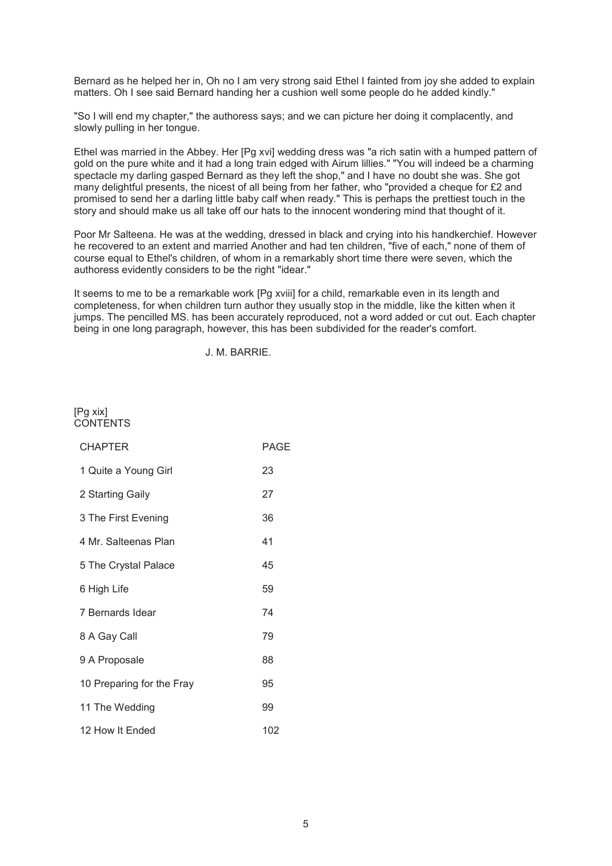Bernard as he helped her in, Oh no I am very strong said Ethel I fainted from joy she added to explain matters. Oh I see said Bernard handing her a cushion well some people do he added kindly."

"So I will end my chapter," the authoress says; and we can picture her doing it complacently, and slowly pulling in her tongue.

Ethel was married in the Abbey. Her [Pg xvi] wedding dress was "a rich satin with a humped pattern of gold on the pure white and it had a long train edged with Airum lillies." "You will indeed be a charming spectacle my darling gasped Bernard as they left the shop," and I have no doubt she was. She got many delightful presents, the nicest of all being from her father, who "provided a cheque for £2 and promised to send her a darling little baby calf when ready." This is perhaps the prettiest touch in the story and should make us all take off our hats to the innocent wondering mind that thought of it.

Poor Mr Salteena. He was at the wedding, dressed in black and crying into his handkerchief. However he recovered to an extent and married Another and had ten children, "five of each," none of them of course equal to Ethel's children, of whom in a remarkably short time there were seven, which the authoress evidently considers to be the right "idear."

It seems to me to be a remarkable work [Pg xviii] for a child, remarkable even in its length and completeness, for when children turn author they usually stop in the middle, like the kitten when it jumps. The pencilled MS. has been accurately reproduced, not a word added or cut out. Each chapter being in one long paragraph, however, this has been subdivided for the reader's comfort.

J. M. BARRIE.

### [Pg xix] **CONTENTS**

| <b>CHAPTER</b>            | PAGE |
|---------------------------|------|
| 1 Quite a Young Girl      | 23   |
| 2 Starting Gaily          | 27   |
| 3 The First Evening       | 36   |
| 4 Mr. Salteenas Plan      | 41   |
| 5 The Crystal Palace      | 45   |
| 6 High Life               | 59   |
| 7 Bernards Idear          | 74   |
| 8 A Gay Call              | 79   |
| 9 A Proposale             | 88   |
| 10 Preparing for the Fray | 95   |
| 11 The Wedding            | 99   |
| 12 How It Ended           | 102  |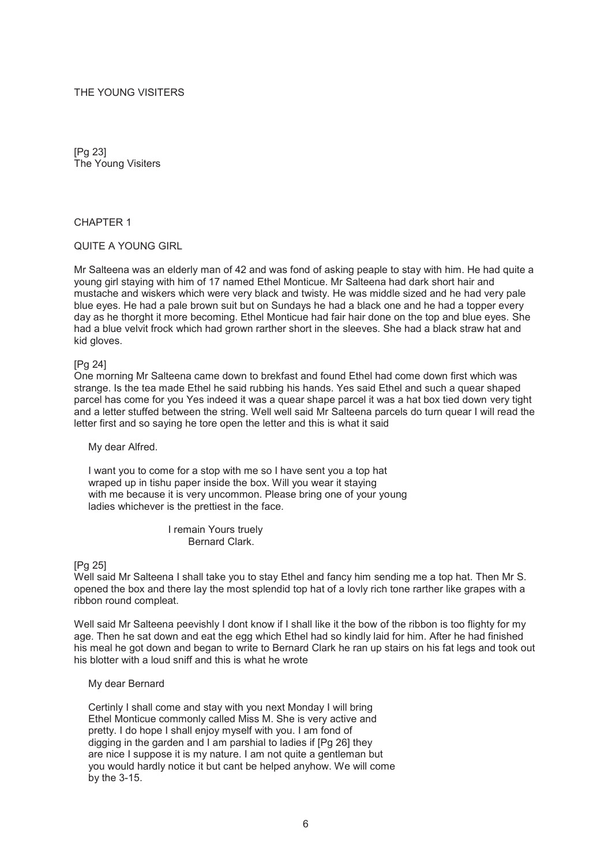### THE YOUNG VISITERS

[Pg 23] The Young Visiters

#### CHAPTER 1

#### QUITE A YOUNG GIRL

Mr Salteena was an elderly man of 42 and was fond of asking peaple to stay with him. He had quite a young girl staying with him of 17 named Ethel Monticue. Mr Salteena had dark short hair and mustache and wiskers which were very black and twisty. He was middle sized and he had very pale blue eyes. He had a pale brown suit but on Sundays he had a black one and he had a topper every day as he thorght it more becoming. Ethel Monticue had fair hair done on the top and blue eyes. She had a blue velvit frock which had grown rarther short in the sleeves. She had a black straw hat and kid gloves.

#### [Pg 24]

One morning Mr Salteena came down to brekfast and found Ethel had come down first which was strange. Is the tea made Ethel he said rubbing his hands. Yes said Ethel and such a quear shaped parcel has come for you Yes indeed it was a quear shape parcel it was a hat box tied down very tight and a letter stuffed between the string. Well well said Mr Salteena parcels do turn quear I will read the letter first and so saying he tore open the letter and this is what it said

#### My dear Alfred.

 I want you to come for a stop with me so I have sent you a top hat wraped up in tishu paper inside the box. Will you wear it staying with me because it is very uncommon. Please bring one of your young ladies whichever is the prettiest in the face.

> I remain Yours truely Bernard Clark.

#### [Pg 25]

Well said Mr Salteena I shall take you to stay Ethel and fancy him sending me a top hat. Then Mr S. opened the box and there lay the most splendid top hat of a lovly rich tone rarther like grapes with a ribbon round compleat.

Well said Mr Salteena peevishly I dont know if I shall like it the bow of the ribbon is too flighty for my age. Then he sat down and eat the egg which Ethel had so kindly laid for him. After he had finished his meal he got down and began to write to Bernard Clark he ran up stairs on his fat legs and took out his blotter with a loud sniff and this is what he wrote

#### My dear Bernard

 Certinly I shall come and stay with you next Monday I will bring Ethel Monticue commonly called Miss M. She is very active and pretty. I do hope I shall enjoy myself with you. I am fond of digging in the garden and I am parshial to ladies if [Pg 26] they are nice I suppose it is my nature. I am not quite a gentleman but you would hardly notice it but cant be helped anyhow. We will come by the 3-15.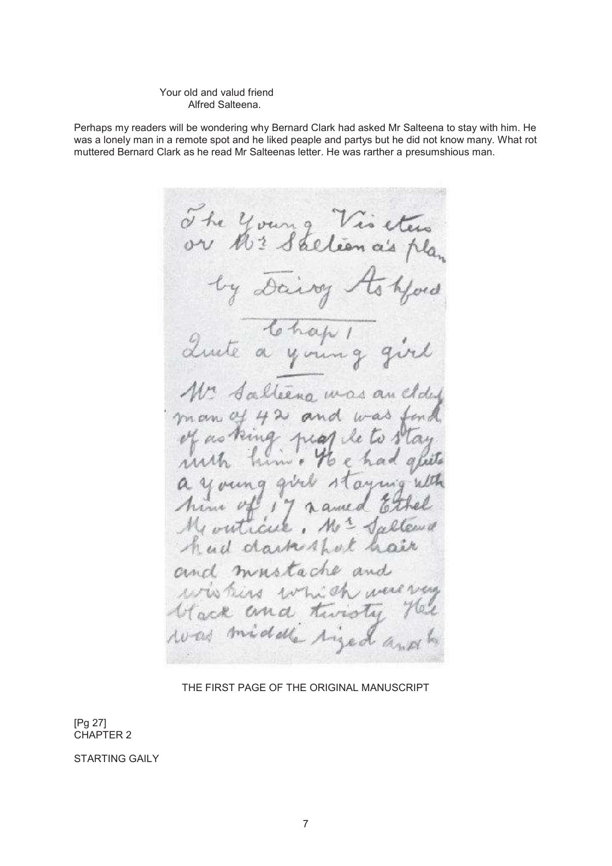#### Your old and valud friend Alfred Salteena.

Perhaps my readers will be wondering why Bernard Clark had asked Mr Salteena to stay with him. He was a lonely man in a remote spot and he liked peaple and partys but he did not know many. What rot muttered Bernard Clark as he read Mr Salteenas letter. He was rarther a presumshious man.

The young 7 Vis etus<br>lion a's pla or hr. by Dairy ord Quite your Saltera was a  $42$  and man of  $b-a$  $\nu^{\prime}$ as king hear now . vang rN anna  $201$ ol ague outical 生  $\triangle$ ÷. ud darkethol minstache dia s a s ind  $\pi$ Ern d. mobile

THE FIRST PAGE OF THE ORIGINAL MANUSCRIPT

[Pg 27] CHAPTER 2

STARTING GAILY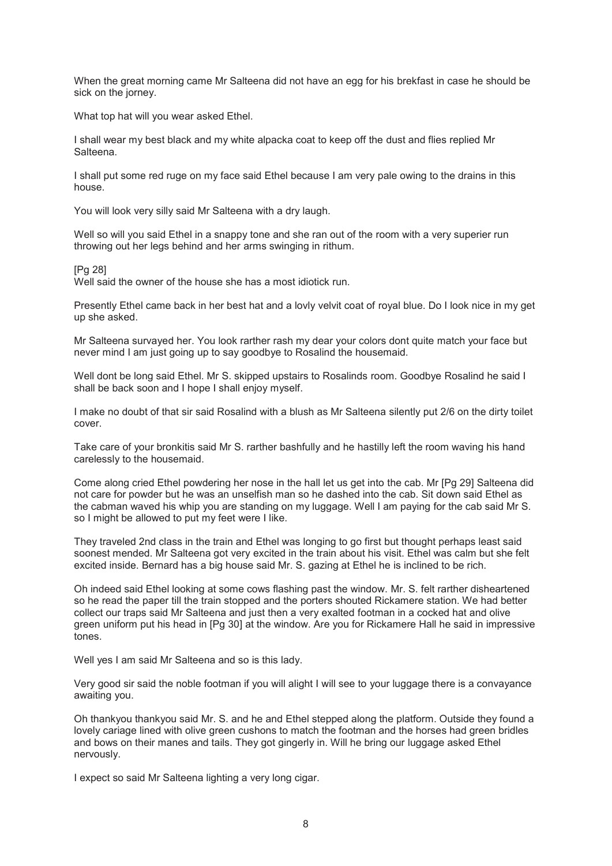When the great morning came Mr Salteena did not have an egg for his brekfast in case he should be sick on the jorney.

What top hat will you wear asked Ethel.

I shall wear my best black and my white alpacka coat to keep off the dust and flies replied Mr Salteena.

I shall put some red ruge on my face said Ethel because I am very pale owing to the drains in this house.

You will look very silly said Mr Salteena with a dry laugh.

Well so will you said Ethel in a snappy tone and she ran out of the room with a very superier run throwing out her legs behind and her arms swinging in rithum.

[Pg 28]

Well said the owner of the house she has a most idiotick run.

Presently Ethel came back in her best hat and a lovly velvit coat of royal blue. Do I look nice in my get up she asked.

Mr Salteena survayed her. You look rarther rash my dear your colors dont quite match your face but never mind I am just going up to say goodbye to Rosalind the housemaid.

Well dont be long said Ethel. Mr S. skipped upstairs to Rosalinds room. Goodbye Rosalind he said I shall be back soon and I hope I shall enjoy myself.

I make no doubt of that sir said Rosalind with a blush as Mr Salteena silently put 2/6 on the dirty toilet cover.

Take care of your bronkitis said Mr S. rarther bashfully and he hastilly left the room waving his hand carelessly to the housemaid.

Come along cried Ethel powdering her nose in the hall let us get into the cab. Mr [Pg 29] Salteena did not care for powder but he was an unselfish man so he dashed into the cab. Sit down said Ethel as the cabman waved his whip you are standing on my luggage. Well I am paying for the cab said Mr S. so I might be allowed to put my feet were I like.

They traveled 2nd class in the train and Ethel was longing to go first but thought perhaps least said soonest mended. Mr Salteena got very excited in the train about his visit. Ethel was calm but she felt excited inside. Bernard has a big house said Mr. S. gazing at Ethel he is inclined to be rich.

Oh indeed said Ethel looking at some cows flashing past the window. Mr. S. felt rarther disheartened so he read the paper till the train stopped and the porters shouted Rickamere station. We had better collect our traps said Mr Salteena and just then a very exalted footman in a cocked hat and olive green uniform put his head in [Pg 30] at the window. Are you for Rickamere Hall he said in impressive tones.

Well yes I am said Mr Salteena and so is this lady.

Very good sir said the noble footman if you will alight I will see to your luggage there is a convayance awaiting you.

Oh thankyou thankyou said Mr. S. and he and Ethel stepped along the platform. Outside they found a lovely cariage lined with olive green cushons to match the footman and the horses had green bridles and bows on their manes and tails. They got gingerly in. Will he bring our luggage asked Ethel nervously.

I expect so said Mr Salteena lighting a very long cigar.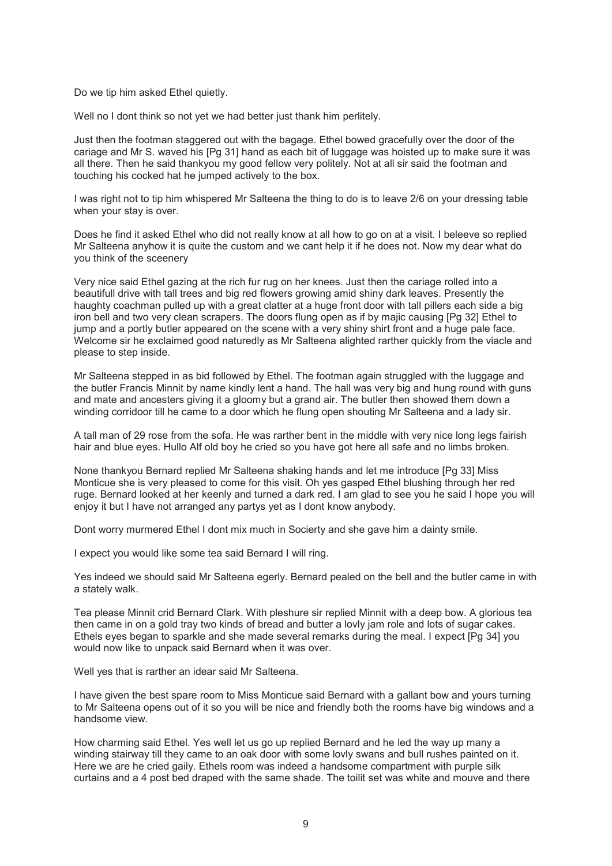Do we tip him asked Ethel quietly.

Well no I dont think so not yet we had better just thank him perlitely.

Just then the footman staggered out with the bagage. Ethel bowed gracefully over the door of the cariage and Mr S. waved his [Pg 31] hand as each bit of luggage was hoisted up to make sure it was all there. Then he said thankyou my good fellow very politely. Not at all sir said the footman and touching his cocked hat he jumped actively to the box.

I was right not to tip him whispered Mr Salteena the thing to do is to leave 2/6 on your dressing table when your stay is over.

Does he find it asked Ethel who did not really know at all how to go on at a visit. I beleeve so replied Mr Salteena anyhow it is quite the custom and we cant help it if he does not. Now my dear what do you think of the sceenery

Very nice said Ethel gazing at the rich fur rug on her knees. Just then the cariage rolled into a beautifull drive with tall trees and big red flowers growing amid shiny dark leaves. Presently the haughty coachman pulled up with a great clatter at a huge front door with tall pillers each side a big iron bell and two very clean scrapers. The doors flung open as if by majic causing [Pg 32] Ethel to jump and a portly butler appeared on the scene with a very shiny shirt front and a huge pale face. Welcome sir he exclaimed good naturedly as Mr Salteena alighted rarther quickly from the viacle and please to step inside.

Mr Salteena stepped in as bid followed by Ethel. The footman again struggled with the luggage and the butler Francis Minnit by name kindly lent a hand. The hall was very big and hung round with guns and mate and ancesters giving it a gloomy but a grand air. The butler then showed them down a winding corridoor till he came to a door which he flung open shouting Mr Salteena and a lady sir.

A tall man of 29 rose from the sofa. He was rarther bent in the middle with very nice long legs fairish hair and blue eyes. Hullo Alf old boy he cried so you have got here all safe and no limbs broken.

None thankyou Bernard replied Mr Salteena shaking hands and let me introduce [Pg 33] Miss Monticue she is very pleased to come for this visit. Oh yes gasped Ethel blushing through her red ruge. Bernard looked at her keenly and turned a dark red. I am glad to see you he said I hope you will enjoy it but I have not arranged any partys yet as I dont know anybody.

Dont worry murmered Ethel I dont mix much in Socierty and she gave him a dainty smile.

I expect you would like some tea said Bernard I will ring.

Yes indeed we should said Mr Salteena egerly. Bernard pealed on the bell and the butler came in with a stately walk.

Tea please Minnit crid Bernard Clark. With pleshure sir replied Minnit with a deep bow. A glorious tea then came in on a gold tray two kinds of bread and butter a lovly jam role and lots of sugar cakes. Ethels eyes began to sparkle and she made several remarks during the meal. I expect [Pg 34] you would now like to unpack said Bernard when it was over.

Well yes that is rarther an idear said Mr Salteena.

I have given the best spare room to Miss Monticue said Bernard with a gallant bow and yours turning to Mr Salteena opens out of it so you will be nice and friendly both the rooms have big windows and a handsome view.

How charming said Ethel. Yes well let us go up replied Bernard and he led the way up many a winding stairway till they came to an oak door with some lovly swans and bull rushes painted on it. Here we are he cried gaily. Ethels room was indeed a handsome compartment with purple silk curtains and a 4 post bed draped with the same shade. The toilit set was white and mouve and there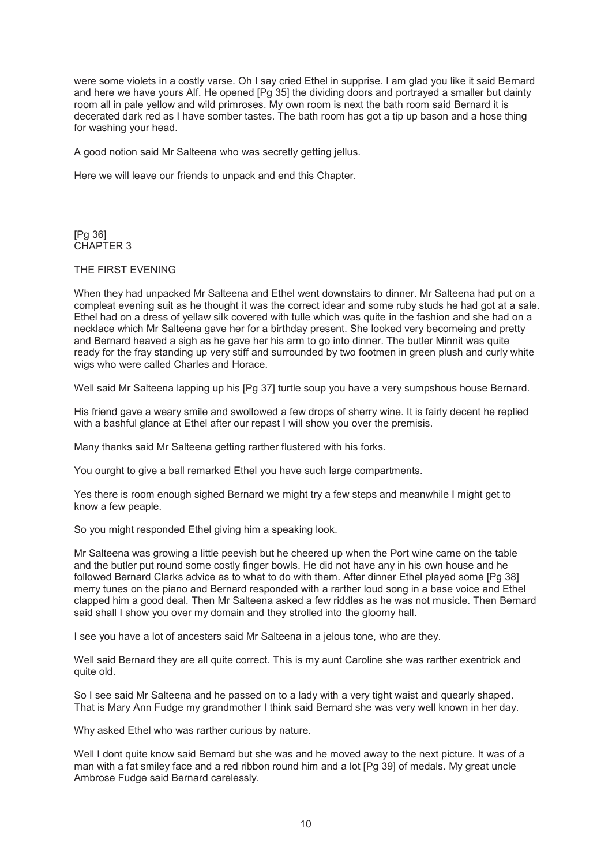were some violets in a costly varse. Oh I say cried Ethel in supprise. I am glad you like it said Bernard and here we have yours Alf. He opened [Pg 35] the dividing doors and portrayed a smaller but dainty room all in pale yellow and wild primroses. My own room is next the bath room said Bernard it is decerated dark red as I have somber tastes. The bath room has got a tip up bason and a hose thing for washing your head.

A good notion said Mr Salteena who was secretly getting jellus.

Here we will leave our friends to unpack and end this Chapter.

[Pg 36] CHAPTER 3

## THE FIRST EVENING

When they had unpacked Mr Salteena and Ethel went downstairs to dinner. Mr Salteena had put on a compleat evening suit as he thought it was the correct idear and some ruby studs he had got at a sale. Ethel had on a dress of yellaw silk covered with tulle which was quite in the fashion and she had on a necklace which Mr Salteena gave her for a birthday present. She looked very becomeing and pretty and Bernard heaved a sigh as he gave her his arm to go into dinner. The butler Minnit was quite ready for the fray standing up very stiff and surrounded by two footmen in green plush and curly white wigs who were called Charles and Horace.

Well said Mr Salteena lapping up his [Pg 37] turtle soup you have a very sumpshous house Bernard.

His friend gave a weary smile and swollowed a few drops of sherry wine. It is fairly decent he replied with a bashful glance at Ethel after our repast I will show you over the premisis.

Many thanks said Mr Salteena getting rarther flustered with his forks.

You ourght to give a ball remarked Ethel you have such large compartments.

Yes there is room enough sighed Bernard we might try a few steps and meanwhile I might get to know a few peaple.

So you might responded Ethel giving him a speaking look.

Mr Salteena was growing a little peevish but he cheered up when the Port wine came on the table and the butler put round some costly finger bowls. He did not have any in his own house and he followed Bernard Clarks advice as to what to do with them. After dinner Ethel played some [Pg 38] merry tunes on the piano and Bernard responded with a rarther loud song in a base voice and Ethel clapped him a good deal. Then Mr Salteena asked a few riddles as he was not musicle. Then Bernard said shall I show you over my domain and they strolled into the gloomy hall.

I see you have a lot of ancesters said Mr Salteena in a jelous tone, who are they.

Well said Bernard they are all quite correct. This is my aunt Caroline she was rarther exentrick and quite old.

So I see said Mr Salteena and he passed on to a lady with a very tight waist and quearly shaped. That is Mary Ann Fudge my grandmother I think said Bernard she was very well known in her day.

Why asked Ethel who was rarther curious by nature.

Well I dont quite know said Bernard but she was and he moved away to the next picture. It was of a man with a fat smiley face and a red ribbon round him and a lot [Pg 39] of medals. My great uncle Ambrose Fudge said Bernard carelessly.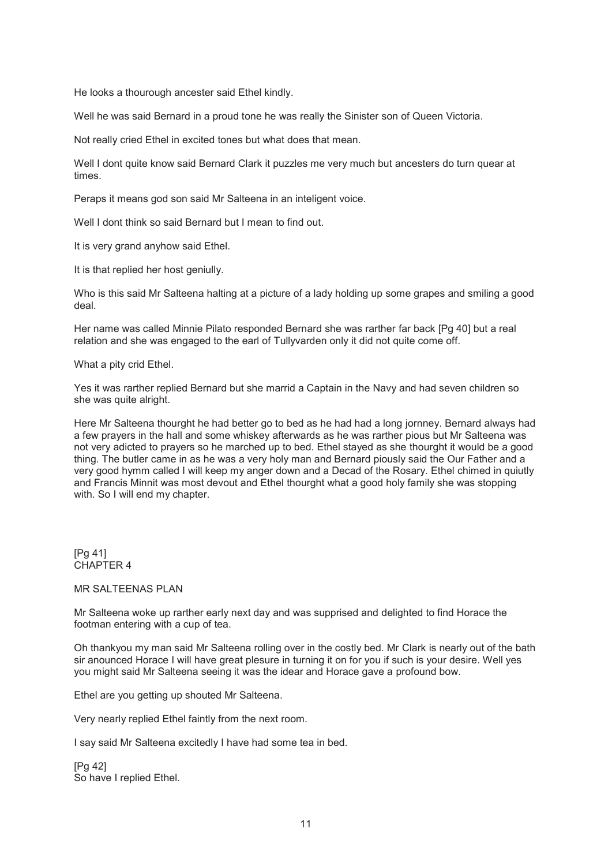He looks a thourough ancester said Ethel kindly.

Well he was said Bernard in a proud tone he was really the Sinister son of Queen Victoria.

Not really cried Ethel in excited tones but what does that mean.

Well I dont quite know said Bernard Clark it puzzles me very much but ancesters do turn quear at times.

Peraps it means god son said Mr Salteena in an inteligent voice.

Well I dont think so said Bernard but I mean to find out.

It is very grand anyhow said Ethel.

It is that replied her host geniully.

Who is this said Mr Salteena halting at a picture of a lady holding up some grapes and smiling a good deal.

Her name was called Minnie Pilato responded Bernard she was rarther far back [Pg 40] but a real relation and she was engaged to the earl of Tullyvarden only it did not quite come off.

What a pity crid Ethel.

Yes it was rarther replied Bernard but she marrid a Captain in the Navy and had seven children so she was quite alright.

Here Mr Salteena thourght he had better go to bed as he had had a long jornney. Bernard always had a few prayers in the hall and some whiskey afterwards as he was rarther pious but Mr Salteena was not very adicted to prayers so he marched up to bed. Ethel stayed as she thourght it would be a good thing. The butler came in as he was a very holy man and Bernard piously said the Our Father and a very good hymm called I will keep my anger down and a Decad of the Rosary. Ethel chimed in quiutly and Francis Minnit was most devout and Ethel thourght what a good holy family she was stopping with. So I will end my chapter.

[Pg 41] CHAPTER 4

## MR SALTEENAS PLAN

Mr Salteena woke up rarther early next day and was supprised and delighted to find Horace the footman entering with a cup of tea.

Oh thankyou my man said Mr Salteena rolling over in the costly bed. Mr Clark is nearly out of the bath sir anounced Horace I will have great plesure in turning it on for you if such is your desire. Well yes you might said Mr Salteena seeing it was the idear and Horace gave a profound bow.

Ethel are you getting up shouted Mr Salteena.

Very nearly replied Ethel faintly from the next room.

I say said Mr Salteena excitedly I have had some tea in bed.

[Pg 42] So have I replied Ethel.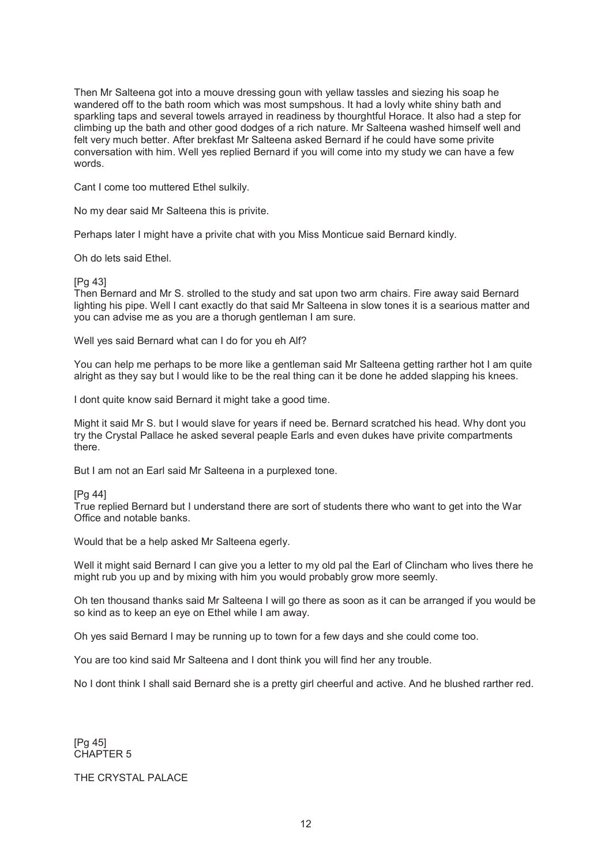Then Mr Salteena got into a mouve dressing goun with yellaw tassles and siezing his soap he wandered off to the bath room which was most sumpshous. It had a lovly white shiny bath and sparkling taps and several towels arrayed in readiness by thourghtful Horace. It also had a step for climbing up the bath and other good dodges of a rich nature. Mr Salteena washed himself well and felt very much better. After brekfast Mr Salteena asked Bernard if he could have some privite conversation with him. Well yes replied Bernard if you will come into my study we can have a few words.

Cant I come too muttered Ethel sulkily.

No my dear said Mr Salteena this is privite.

Perhaps later I might have a privite chat with you Miss Monticue said Bernard kindly.

Oh do lets said Ethel.

#### [Pg 43]

Then Bernard and Mr S. strolled to the study and sat upon two arm chairs. Fire away said Bernard lighting his pipe. Well I cant exactly do that said Mr Salteena in slow tones it is a searious matter and you can advise me as you are a thorugh gentleman I am sure.

Well yes said Bernard what can I do for you eh Alf?

You can help me perhaps to be more like a gentleman said Mr Salteena getting rarther hot I am quite alright as they say but I would like to be the real thing can it be done he added slapping his knees.

I dont quite know said Bernard it might take a good time.

Might it said Mr S. but I would slave for years if need be. Bernard scratched his head. Why dont you try the Crystal Pallace he asked several peaple Earls and even dukes have privite compartments there.

But I am not an Earl said Mr Salteena in a purplexed tone.

#### [Pg 44]

True replied Bernard but I understand there are sort of students there who want to get into the War Office and notable banks.

Would that be a help asked Mr Salteena egerly.

Well it might said Bernard I can give you a letter to my old pal the Earl of Clincham who lives there he might rub you up and by mixing with him you would probably grow more seemly.

Oh ten thousand thanks said Mr Salteena I will go there as soon as it can be arranged if you would be so kind as to keep an eye on Ethel while I am away.

Oh yes said Bernard I may be running up to town for a few days and she could come too.

You are too kind said Mr Salteena and I dont think you will find her any trouble.

No I dont think I shall said Bernard she is a pretty girl cheerful and active. And he blushed rarther red.

[Pg 45] CHAPTER 5

## THE CRYSTAL PALACE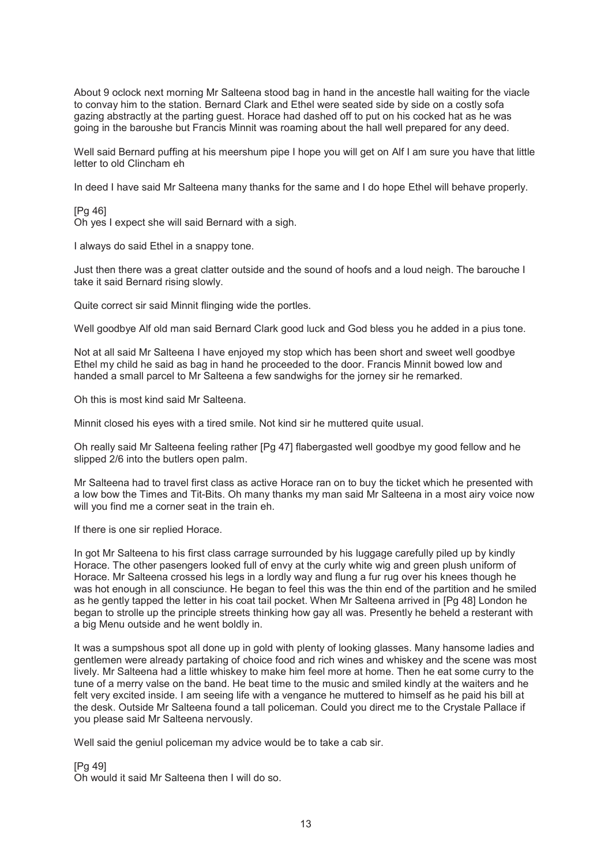About 9 oclock next morning Mr Salteena stood bag in hand in the ancestle hall waiting for the viacle to convay him to the station. Bernard Clark and Ethel were seated side by side on a costly sofa gazing abstractly at the parting guest. Horace had dashed off to put on his cocked hat as he was going in the baroushe but Francis Minnit was roaming about the hall well prepared for any deed.

Well said Bernard puffing at his meershum pipe I hope you will get on Alf I am sure you have that little letter to old Clincham eh

In deed I have said Mr Salteena many thanks for the same and I do hope Ethel will behave properly.

[Pg 46] Oh yes I expect she will said Bernard with a sigh.

I always do said Ethel in a snappy tone.

Just then there was a great clatter outside and the sound of hoofs and a loud neigh. The barouche I take it said Bernard rising slowly.

Quite correct sir said Minnit flinging wide the portles.

Well goodbye Alf old man said Bernard Clark good luck and God bless you he added in a pius tone.

Not at all said Mr Salteena I have enjoyed my stop which has been short and sweet well goodbye Ethel my child he said as bag in hand he proceeded to the door. Francis Minnit bowed low and handed a small parcel to Mr Salteena a few sandwighs for the jorney sir he remarked.

Oh this is most kind said Mr Salteena.

Minnit closed his eyes with a tired smile. Not kind sir he muttered quite usual.

Oh really said Mr Salteena feeling rather [Pg 47] flabergasted well goodbye my good fellow and he slipped 2/6 into the butlers open palm.

Mr Salteena had to travel first class as active Horace ran on to buy the ticket which he presented with a low bow the Times and Tit-Bits. Oh many thanks my man said Mr Salteena in a most airy voice now will you find me a corner seat in the train eh.

If there is one sir replied Horace.

In got Mr Salteena to his first class carrage surrounded by his luggage carefully piled up by kindly Horace. The other pasengers looked full of envy at the curly white wig and green plush uniform of Horace. Mr Salteena crossed his legs in a lordly way and flung a fur rug over his knees though he was hot enough in all consciunce. He began to feel this was the thin end of the partition and he smiled as he gently tapped the letter in his coat tail pocket. When Mr Salteena arrived in [Pg 48] London he began to strolle up the principle streets thinking how gay all was. Presently he beheld a resterant with a big Menu outside and he went boldly in.

It was a sumpshous spot all done up in gold with plenty of looking glasses. Many hansome ladies and gentlemen were already partaking of choice food and rich wines and whiskey and the scene was most lively. Mr Salteena had a little whiskey to make him feel more at home. Then he eat some curry to the tune of a merry valse on the band. He beat time to the music and smiled kindly at the waiters and he felt very excited inside. I am seeing life with a vengance he muttered to himself as he paid his bill at the desk. Outside Mr Salteena found a tall policeman. Could you direct me to the Crystale Pallace if you please said Mr Salteena nervously.

Well said the geniul policeman my advice would be to take a cab sir.

[Pg 49] Oh would it said Mr Salteena then I will do so.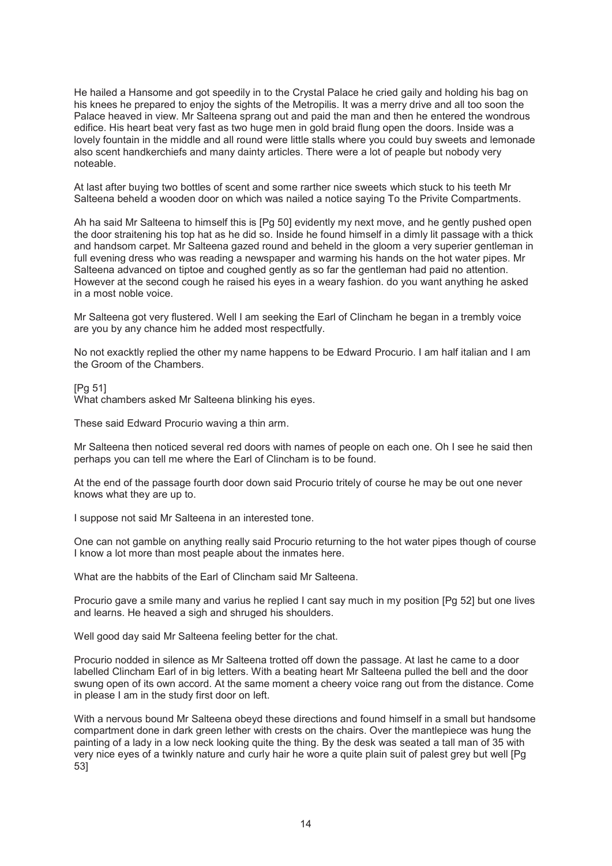He hailed a Hansome and got speedily in to the Crystal Palace he cried gaily and holding his bag on his knees he prepared to enjoy the sights of the Metropilis. It was a merry drive and all too soon the Palace heaved in view. Mr Salteena sprang out and paid the man and then he entered the wondrous edifice. His heart beat very fast as two huge men in gold braid flung open the doors. Inside was a lovely fountain in the middle and all round were little stalls where you could buy sweets and lemonade also scent handkerchiefs and many dainty articles. There were a lot of peaple but nobody very noteable.

At last after buying two bottles of scent and some rarther nice sweets which stuck to his teeth Mr Salteena beheld a wooden door on which was nailed a notice saying To the Privite Compartments.

Ah ha said Mr Salteena to himself this is [Pg 50] evidently my next move, and he gently pushed open the door straitening his top hat as he did so. Inside he found himself in a dimly lit passage with a thick and handsom carpet. Mr Salteena gazed round and beheld in the gloom a very superier gentleman in full evening dress who was reading a newspaper and warming his hands on the hot water pipes. Mr Salteena advanced on tiptoe and coughed gently as so far the gentleman had paid no attention. However at the second cough he raised his eyes in a weary fashion. do you want anything he asked in a most noble voice.

Mr Salteena got very flustered. Well I am seeking the Earl of Clincham he began in a trembly voice are you by any chance him he added most respectfully.

No not exacktly replied the other my name happens to be Edward Procurio. I am half italian and I am the Groom of the Chambers.

[Pg 51]

What chambers asked Mr Salteena blinking his eyes.

These said Edward Procurio waving a thin arm.

Mr Salteena then noticed several red doors with names of people on each one. Oh I see he said then perhaps you can tell me where the Earl of Clincham is to be found.

At the end of the passage fourth door down said Procurio tritely of course he may be out one never knows what they are up to.

I suppose not said Mr Salteena in an interested tone.

One can not gamble on anything really said Procurio returning to the hot water pipes though of course I know a lot more than most peaple about the inmates here.

What are the habbits of the Earl of Clincham said Mr Salteena.

Procurio gave a smile many and varius he replied I cant say much in my position [Pg 52] but one lives and learns. He heaved a sigh and shruged his shoulders.

Well good day said Mr Salteena feeling better for the chat.

Procurio nodded in silence as Mr Salteena trotted off down the passage. At last he came to a door labelled Clincham Earl of in big letters. With a beating heart Mr Salteena pulled the bell and the door swung open of its own accord. At the same moment a cheery voice rang out from the distance. Come in please I am in the study first door on left.

With a nervous bound Mr Salteena obeyd these directions and found himself in a small but handsome compartment done in dark green lether with crests on the chairs. Over the mantlepiece was hung the painting of a lady in a low neck looking quite the thing. By the desk was seated a tall man of 35 with very nice eyes of a twinkly nature and curly hair he wore a quite plain suit of palest grey but well [Pg 53]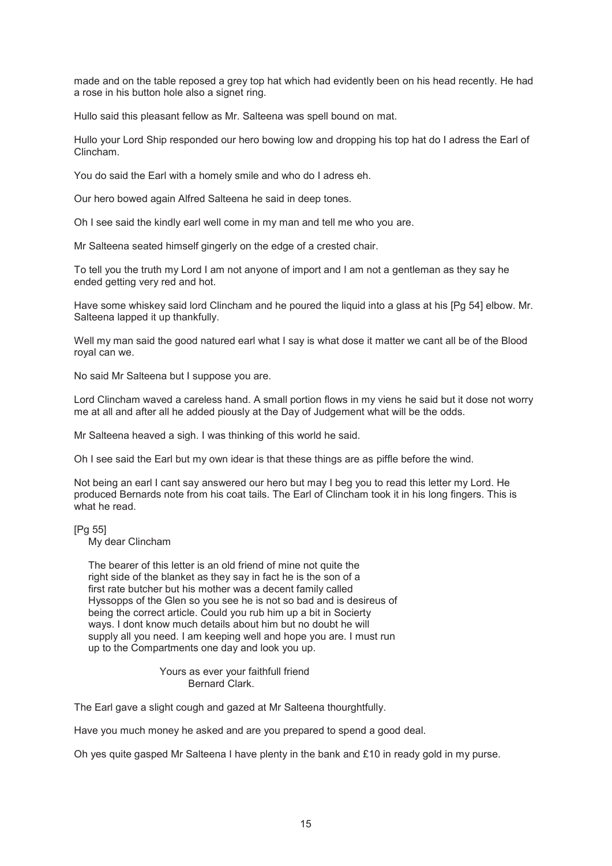made and on the table reposed a grey top hat which had evidently been on his head recently. He had a rose in his button hole also a signet ring.

Hullo said this pleasant fellow as Mr. Salteena was spell bound on mat.

Hullo your Lord Ship responded our hero bowing low and dropping his top hat do I adress the Earl of Clincham.

You do said the Earl with a homely smile and who do I adress eh.

Our hero bowed again Alfred Salteena he said in deep tones.

Oh I see said the kindly earl well come in my man and tell me who you are.

Mr Salteena seated himself gingerly on the edge of a crested chair.

To tell you the truth my Lord I am not anyone of import and I am not a gentleman as they say he ended getting very red and hot.

Have some whiskey said lord Clincham and he poured the liquid into a glass at his [Pg 54] elbow. Mr. Salteena lapped it up thankfully.

Well my man said the good natured earl what I say is what dose it matter we cant all be of the Blood royal can we.

No said Mr Salteena but I suppose you are.

Lord Clincham waved a careless hand. A small portion flows in my viens he said but it dose not worry me at all and after all he added piously at the Day of Judgement what will be the odds.

Mr Salteena heaved a sigh. I was thinking of this world he said.

Oh I see said the Earl but my own idear is that these things are as piffle before the wind.

Not being an earl I cant say answered our hero but may I beg you to read this letter my Lord. He produced Bernards note from his coat tails. The Earl of Clincham took it in his long fingers. This is what he read.

[Pg 55]

My dear Clincham

 The bearer of this letter is an old friend of mine not quite the right side of the blanket as they say in fact he is the son of a first rate butcher but his mother was a decent family called Hyssopps of the Glen so you see he is not so bad and is desireus of being the correct article. Could you rub him up a bit in Socierty ways. I dont know much details about him but no doubt he will supply all you need. I am keeping well and hope you are. I must run up to the Compartments one day and look you up.

> Yours as ever your faithfull friend Bernard Clark.

The Earl gave a slight cough and gazed at Mr Salteena thourghtfully.

Have you much money he asked and are you prepared to spend a good deal.

Oh yes quite gasped Mr Salteena I have plenty in the bank and £10 in ready gold in my purse.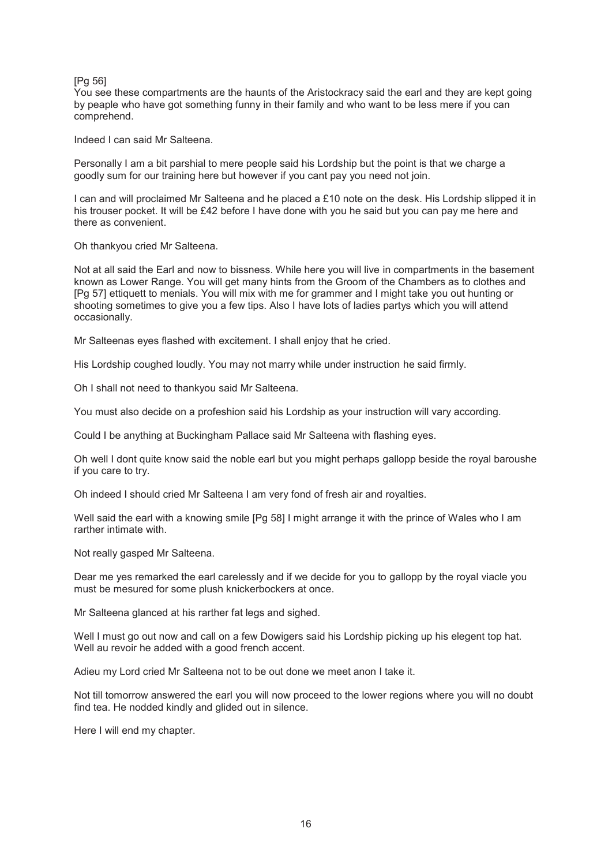#### [Pg 56]

You see these compartments are the haunts of the Aristockracy said the earl and they are kept going by peaple who have got something funny in their family and who want to be less mere if you can comprehend.

Indeed I can said Mr Salteena.

Personally I am a bit parshial to mere people said his Lordship but the point is that we charge a goodly sum for our training here but however if you cant pay you need not join.

I can and will proclaimed Mr Salteena and he placed a £10 note on the desk. His Lordship slipped it in his trouser pocket. It will be £42 before I have done with you he said but you can pay me here and there as convenient.

Oh thankyou cried Mr Salteena.

Not at all said the Earl and now to bissness. While here you will live in compartments in the basement known as Lower Range. You will get many hints from the Groom of the Chambers as to clothes and [Pg 57] ettiquett to menials. You will mix with me for grammer and I might take you out hunting or shooting sometimes to give you a few tips. Also I have lots of ladies partys which you will attend occasionally.

Mr Salteenas eyes flashed with excitement. I shall enjoy that he cried.

His Lordship coughed loudly. You may not marry while under instruction he said firmly.

Oh I shall not need to thankyou said Mr Salteena.

You must also decide on a profeshion said his Lordship as your instruction will vary according.

Could I be anything at Buckingham Pallace said Mr Salteena with flashing eyes.

Oh well I dont quite know said the noble earl but you might perhaps gallopp beside the royal baroushe if you care to try.

Oh indeed I should cried Mr Salteena I am very fond of fresh air and royalties.

Well said the earl with a knowing smile [Pg 58] I might arrange it with the prince of Wales who I am rarther intimate with.

Not really gasped Mr Salteena.

Dear me yes remarked the earl carelessly and if we decide for you to gallopp by the royal viacle you must be mesured for some plush knickerbockers at once.

Mr Salteena glanced at his rarther fat legs and sighed.

Well I must go out now and call on a few Dowigers said his Lordship picking up his elegent top hat. Well au revoir he added with a good french accent.

Adieu my Lord cried Mr Salteena not to be out done we meet anon I take it.

Not till tomorrow answered the earl you will now proceed to the lower regions where you will no doubt find tea. He nodded kindly and glided out in silence.

Here I will end my chapter.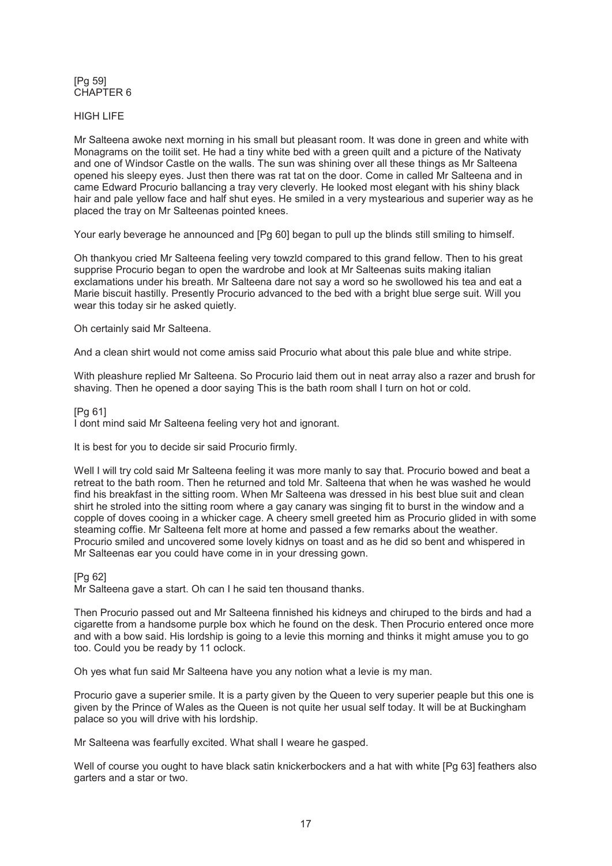## [Pg 59] CHAPTER 6

## HIGH LIFE

Mr Salteena awoke next morning in his small but pleasant room. It was done in green and white with Monagrams on the toilit set. He had a tiny white bed with a green quilt and a picture of the Nativaty and one of Windsor Castle on the walls. The sun was shining over all these things as Mr Salteena opened his sleepy eyes. Just then there was rat tat on the door. Come in called Mr Salteena and in came Edward Procurio ballancing a tray very cleverly. He looked most elegant with his shiny black hair and pale yellow face and half shut eyes. He smiled in a very mystearious and superier way as he placed the tray on Mr Salteenas pointed knees.

Your early beverage he announced and [Pg 60] began to pull up the blinds still smiling to himself.

Oh thankyou cried Mr Salteena feeling very towzld compared to this grand fellow. Then to his great supprise Procurio began to open the wardrobe and look at Mr Salteenas suits making italian exclamations under his breath. Mr Salteena dare not say a word so he swollowed his tea and eat a Marie biscuit hastilly. Presently Procurio advanced to the bed with a bright blue serge suit. Will you wear this today sir he asked quietly.

Oh certainly said Mr Salteena.

And a clean shirt would not come amiss said Procurio what about this pale blue and white stripe.

With pleashure replied Mr Salteena. So Procurio laid them out in neat array also a razer and brush for shaving. Then he opened a door saying This is the bath room shall I turn on hot or cold.

## [Pg 61]

I dont mind said Mr Salteena feeling very hot and ignorant.

It is best for you to decide sir said Procurio firmly.

Well I will try cold said Mr Salteena feeling it was more manly to say that. Procurio bowed and beat a retreat to the bath room. Then he returned and told Mr. Salteena that when he was washed he would find his breakfast in the sitting room. When Mr Salteena was dressed in his best blue suit and clean shirt he stroled into the sitting room where a gay canary was singing fit to burst in the window and a copple of doves cooing in a whicker cage. A cheery smell greeted him as Procurio glided in with some steaming coffie. Mr Salteena felt more at home and passed a few remarks about the weather. Procurio smiled and uncovered some lovely kidnys on toast and as he did so bent and whispered in Mr Salteenas ear you could have come in in your dressing gown.

## [Pg 62]

Mr Salteena gave a start. Oh can I he said ten thousand thanks.

Then Procurio passed out and Mr Salteena finnished his kidneys and chiruped to the birds and had a cigarette from a handsome purple box which he found on the desk. Then Procurio entered once more and with a bow said. His lordship is going to a levie this morning and thinks it might amuse you to go too. Could you be ready by 11 oclock.

Oh yes what fun said Mr Salteena have you any notion what a levie is my man.

Procurio gave a superier smile. It is a party given by the Queen to very superier peaple but this one is given by the Prince of Wales as the Queen is not quite her usual self today. It will be at Buckingham palace so you will drive with his lordship.

Mr Salteena was fearfully excited. What shall I weare he gasped.

Well of course you ought to have black satin knickerbockers and a hat with white [Pg 63] feathers also garters and a star or two.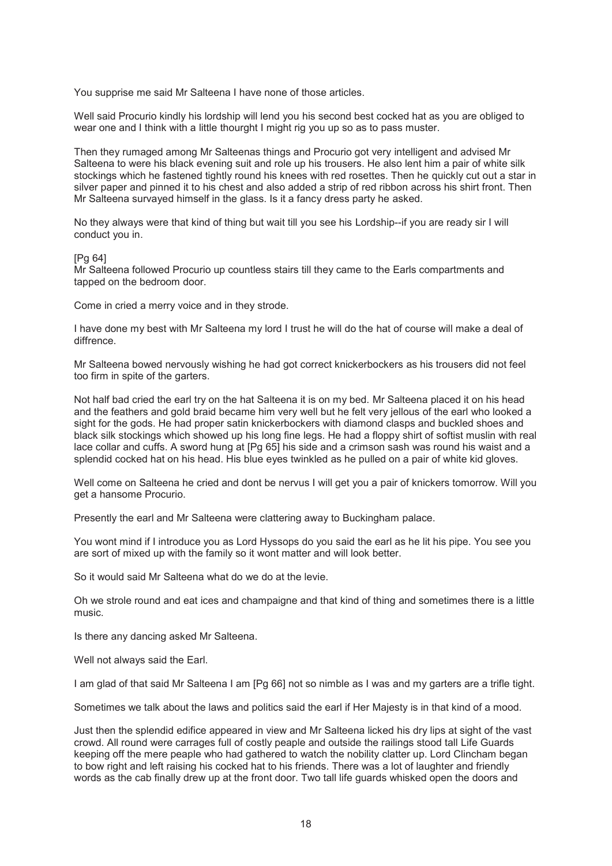You supprise me said Mr Salteena I have none of those articles.

Well said Procurio kindly his lordship will lend you his second best cocked hat as you are obliged to wear one and I think with a little thourght I might rig you up so as to pass muster.

Then they rumaged among Mr Salteenas things and Procurio got very intelligent and advised Mr Salteena to were his black evening suit and role up his trousers. He also lent him a pair of white silk stockings which he fastened tightly round his knees with red rosettes. Then he quickly cut out a star in silver paper and pinned it to his chest and also added a strip of red ribbon across his shirt front. Then Mr Salteena survayed himself in the glass. Is it a fancy dress party he asked.

No they always were that kind of thing but wait till you see his Lordship--if you are ready sir I will conduct you in.

#### [Pg 64]

Mr Salteena followed Procurio up countless stairs till they came to the Earls compartments and tapped on the bedroom door.

Come in cried a merry voice and in they strode.

I have done my best with Mr Salteena my lord I trust he will do the hat of course will make a deal of diffrence.

Mr Salteena bowed nervously wishing he had got correct knickerbockers as his trousers did not feel too firm in spite of the garters.

Not half bad cried the earl try on the hat Salteena it is on my bed. Mr Salteena placed it on his head and the feathers and gold braid became him very well but he felt very jellous of the earl who looked a sight for the gods. He had proper satin knickerbockers with diamond clasps and buckled shoes and black silk stockings which showed up his long fine legs. He had a floppy shirt of softist muslin with real lace collar and cuffs. A sword hung at [Pg 65] his side and a crimson sash was round his waist and a splendid cocked hat on his head. His blue eyes twinkled as he pulled on a pair of white kid gloves.

Well come on Salteena he cried and dont be nervus I will get you a pair of knickers tomorrow. Will you get a hansome Procurio.

Presently the earl and Mr Salteena were clattering away to Buckingham palace.

You wont mind if I introduce you as Lord Hyssops do you said the earl as he lit his pipe. You see you are sort of mixed up with the family so it wont matter and will look better.

So it would said Mr Salteena what do we do at the levie.

Oh we strole round and eat ices and champaigne and that kind of thing and sometimes there is a little music.

Is there any dancing asked Mr Salteena.

Well not always said the Earl.

I am glad of that said Mr Salteena I am [Pg 66] not so nimble as I was and my garters are a trifle tight.

Sometimes we talk about the laws and politics said the earl if Her Majesty is in that kind of a mood.

Just then the splendid edifice appeared in view and Mr Salteena licked his dry lips at sight of the vast crowd. All round were carrages full of costly peaple and outside the railings stood tall Life Guards keeping off the mere peaple who had gathered to watch the nobility clatter up. Lord Clincham began to bow right and left raising his cocked hat to his friends. There was a lot of laughter and friendly words as the cab finally drew up at the front door. Two tall life guards whisked open the doors and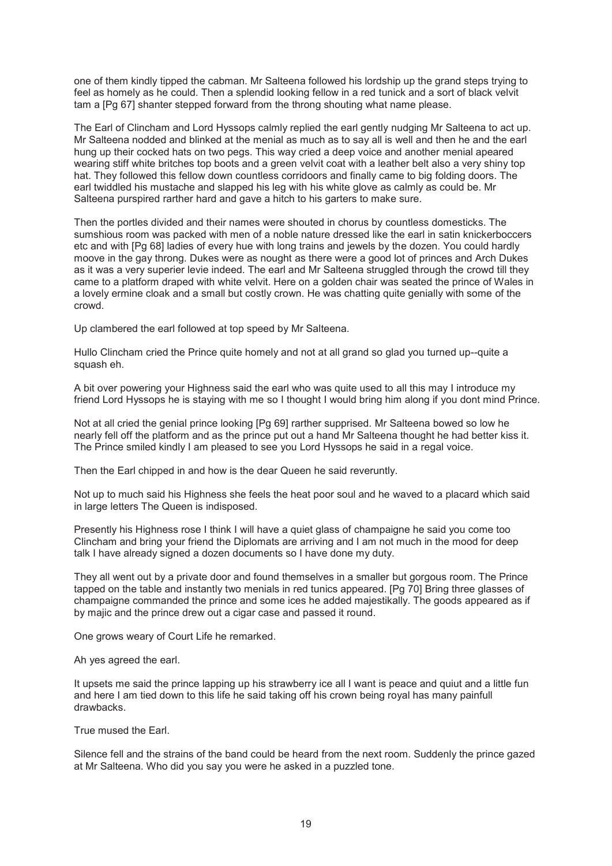one of them kindly tipped the cabman. Mr Salteena followed his lordship up the grand steps trying to feel as homely as he could. Then a splendid looking fellow in a red tunick and a sort of black velvit tam a [Pg 67] shanter stepped forward from the throng shouting what name please.

The Earl of Clincham and Lord Hyssops calmly replied the earl gently nudging Mr Salteena to act up. Mr Salteena nodded and blinked at the menial as much as to say all is well and then he and the earl hung up their cocked hats on two pegs. This way cried a deep voice and another menial apeared wearing stiff white britches top boots and a green velvit coat with a leather belt also a very shiny top hat. They followed this fellow down countless corridoors and finally came to big folding doors. The earl twiddled his mustache and slapped his leg with his white glove as calmly as could be. Mr Salteena purspired rarther hard and gave a hitch to his garters to make sure.

Then the portles divided and their names were shouted in chorus by countless domesticks. The sumshious room was packed with men of a noble nature dressed like the earl in satin knickerboccers etc and with [Pg 68] ladies of every hue with long trains and jewels by the dozen. You could hardly moove in the gay throng. Dukes were as nought as there were a good lot of princes and Arch Dukes as it was a very superier levie indeed. The earl and Mr Salteena struggled through the crowd till they came to a platform draped with white velvit. Here on a golden chair was seated the prince of Wales in a lovely ermine cloak and a small but costly crown. He was chatting quite genially with some of the crowd.

Up clambered the earl followed at top speed by Mr Salteena.

Hullo Clincham cried the Prince quite homely and not at all grand so glad you turned up--quite a squash eh.

A bit over powering your Highness said the earl who was quite used to all this may I introduce my friend Lord Hyssops he is staying with me so I thought I would bring him along if you dont mind Prince.

Not at all cried the genial prince looking [Pg 69] rarther supprised. Mr Salteena bowed so low he nearly fell off the platform and as the prince put out a hand Mr Salteena thought he had better kiss it. The Prince smiled kindly I am pleased to see you Lord Hyssops he said in a regal voice.

Then the Earl chipped in and how is the dear Queen he said reveruntly.

Not up to much said his Highness she feels the heat poor soul and he waved to a placard which said in large letters The Queen is indisposed.

Presently his Highness rose I think I will have a quiet glass of champaigne he said you come too Clincham and bring your friend the Diplomats are arriving and I am not much in the mood for deep talk I have already signed a dozen documents so I have done my duty.

They all went out by a private door and found themselves in a smaller but gorgous room. The Prince tapped on the table and instantly two menials in red tunics appeared. [Pg 70] Bring three glasses of champaigne commanded the prince and some ices he added majestikally. The goods appeared as if by majic and the prince drew out a cigar case and passed it round.

One grows weary of Court Life he remarked.

Ah yes agreed the earl.

It upsets me said the prince lapping up his strawberry ice all I want is peace and quiut and a little fun and here I am tied down to this life he said taking off his crown being royal has many painfull drawbacks.

True mused the Earl.

Silence fell and the strains of the band could be heard from the next room. Suddenly the prince gazed at Mr Salteena. Who did you say you were he asked in a puzzled tone.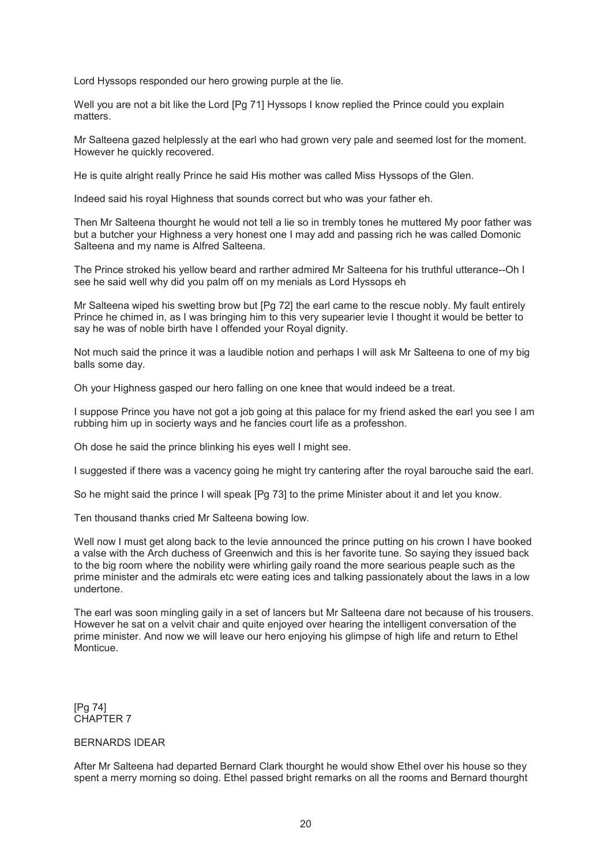Lord Hyssops responded our hero growing purple at the lie.

Well you are not a bit like the Lord [Pg 71] Hyssops I know replied the Prince could you explain matters.

Mr Salteena gazed helplessly at the earl who had grown very pale and seemed lost for the moment. However he quickly recovered.

He is quite alright really Prince he said His mother was called Miss Hyssops of the Glen.

Indeed said his royal Highness that sounds correct but who was your father eh.

Then Mr Salteena thourght he would not tell a lie so in trembly tones he muttered My poor father was but a butcher your Highness a very honest one I may add and passing rich he was called Domonic Salteena and my name is Alfred Salteena.

The Prince stroked his yellow beard and rarther admired Mr Salteena for his truthful utterance--Oh I see he said well why did you palm off on my menials as Lord Hyssops eh

Mr Salteena wiped his swetting brow but [Pg 72] the earl came to the rescue nobly. My fault entirely Prince he chimed in, as I was bringing him to this very supearier levie I thought it would be better to say he was of noble birth have I offended your Royal dignity.

Not much said the prince it was a laudible notion and perhaps I will ask Mr Salteena to one of my big balls some day.

Oh your Highness gasped our hero falling on one knee that would indeed be a treat.

I suppose Prince you have not got a job going at this palace for my friend asked the earl you see I am rubbing him up in socierty ways and he fancies court life as a professhon.

Oh dose he said the prince blinking his eyes well I might see.

I suggested if there was a vacency going he might try cantering after the royal barouche said the earl.

So he might said the prince I will speak [Pg 73] to the prime Minister about it and let you know.

Ten thousand thanks cried Mr Salteena bowing low.

Well now I must get along back to the levie announced the prince putting on his crown I have booked a valse with the Arch duchess of Greenwich and this is her favorite tune. So saying they issued back to the big room where the nobility were whirling gaily roand the more searious peaple such as the prime minister and the admirals etc were eating ices and talking passionately about the laws in a low undertone.

The earl was soon mingling gaily in a set of lancers but Mr Salteena dare not because of his trousers. However he sat on a velvit chair and quite enjoyed over hearing the intelligent conversation of the prime minister. And now we will leave our hero enjoying his glimpse of high life and return to Ethel Monticue.

[Pg 74] CHAPTER 7

#### BERNARDS IDEAR

After Mr Salteena had departed Bernard Clark thourght he would show Ethel over his house so they spent a merry morning so doing. Ethel passed bright remarks on all the rooms and Bernard thourght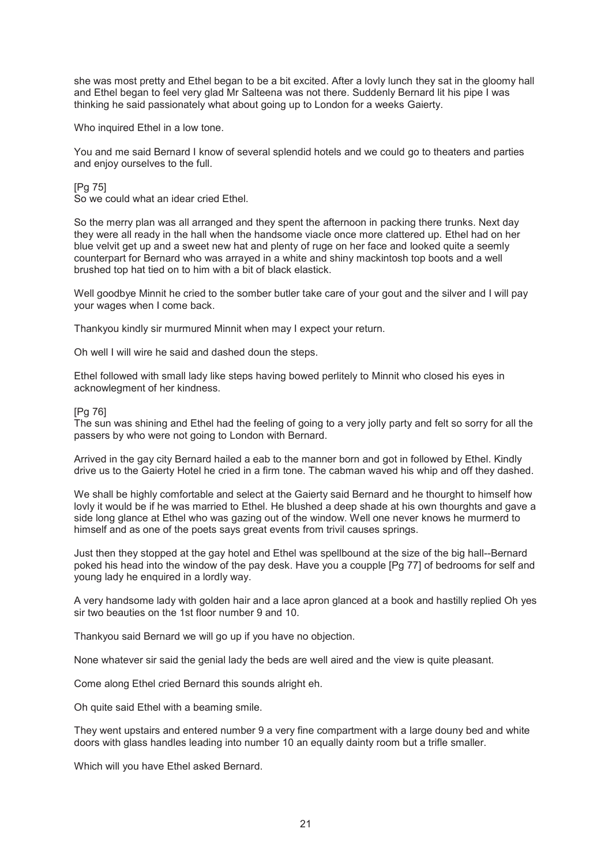she was most pretty and Ethel began to be a bit excited. After a lovly lunch they sat in the gloomy hall and Ethel began to feel very glad Mr Salteena was not there. Suddenly Bernard lit his pipe I was thinking he said passionately what about going up to London for a weeks Gaierty.

Who inquired Ethel in a low tone.

You and me said Bernard I know of several splendid hotels and we could go to theaters and parties and enjoy ourselves to the full.

[Pg 75]

So we could what an idear cried Ethel.

So the merry plan was all arranged and they spent the afternoon in packing there trunks. Next day they were all ready in the hall when the handsome viacle once more clattered up. Ethel had on her blue velvit get up and a sweet new hat and plenty of ruge on her face and looked quite a seemly counterpart for Bernard who was arrayed in a white and shiny mackintosh top boots and a well brushed top hat tied on to him with a bit of black elastick.

Well goodbye Minnit he cried to the somber butler take care of your gout and the silver and I will pay your wages when I come back.

Thankyou kindly sir murmured Minnit when may I expect your return.

Oh well I will wire he said and dashed doun the steps.

Ethel followed with small lady like steps having bowed perlitely to Minnit who closed his eyes in acknowlegment of her kindness.

#### [Pg 76]

The sun was shining and Ethel had the feeling of going to a very jolly party and felt so sorry for all the passers by who were not going to London with Bernard.

Arrived in the gay city Bernard hailed a eab to the manner born and got in followed by Ethel. Kindly drive us to the Gaierty Hotel he cried in a firm tone. The cabman waved his whip and off they dashed.

We shall be highly comfortable and select at the Gaierty said Bernard and he thourght to himself how lovly it would be if he was married to Ethel. He blushed a deep shade at his own thourghts and gave a side long glance at Ethel who was gazing out of the window. Well one never knows he murmerd to himself and as one of the poets says great events from trivil causes springs.

Just then they stopped at the gay hotel and Ethel was spellbound at the size of the big hall--Bernard poked his head into the window of the pay desk. Have you a coupple [Pg 77] of bedrooms for self and young lady he enquired in a lordly way.

A very handsome lady with golden hair and a lace apron glanced at a book and hastilly replied Oh yes sir two beauties on the 1st floor number 9 and 10.

Thankyou said Bernard we will go up if you have no objection.

None whatever sir said the genial lady the beds are well aired and the view is quite pleasant.

Come along Ethel cried Bernard this sounds alright eh.

Oh quite said Ethel with a beaming smile.

They went upstairs and entered number 9 a very fine compartment with a large douny bed and white doors with glass handles leading into number 10 an equally dainty room but a trifle smaller.

Which will you have Ethel asked Bernard.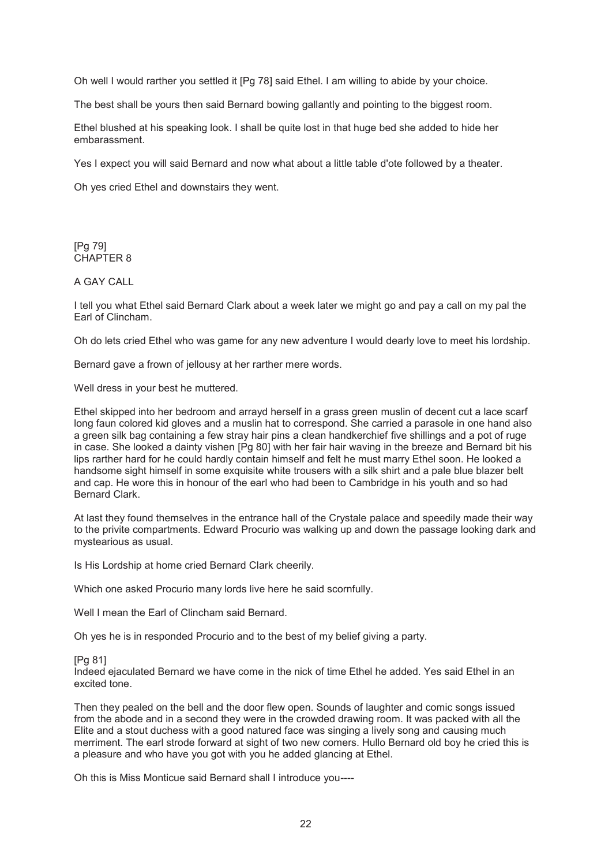Oh well I would rarther you settled it [Pg 78] said Ethel. I am willing to abide by your choice.

The best shall be yours then said Bernard bowing gallantly and pointing to the biggest room.

Ethel blushed at his speaking look. I shall be quite lost in that huge bed she added to hide her embarassment.

Yes I expect you will said Bernard and now what about a little table d'ote followed by a theater.

Oh yes cried Ethel and downstairs they went.

[Pg 79] CHAPTER 8

A GAY CALL

I tell you what Ethel said Bernard Clark about a week later we might go and pay a call on my pal the Earl of Clincham.

Oh do lets cried Ethel who was game for any new adventure I would dearly love to meet his lordship.

Bernard gave a frown of jellousy at her rarther mere words.

Well dress in your best he muttered.

Ethel skipped into her bedroom and arrayd herself in a grass green muslin of decent cut a lace scarf long faun colored kid gloves and a muslin hat to correspond. She carried a parasole in one hand also a green silk bag containing a few stray hair pins a clean handkerchief five shillings and a pot of ruge in case. She looked a dainty vishen [Pg 80] with her fair hair waving in the breeze and Bernard bit his lips rarther hard for he could hardly contain himself and felt he must marry Ethel soon. He looked a handsome sight himself in some exquisite white trousers with a silk shirt and a pale blue blazer belt and cap. He wore this in honour of the earl who had been to Cambridge in his youth and so had Bernard Clark.

At last they found themselves in the entrance hall of the Crystale palace and speedily made their way to the privite compartments. Edward Procurio was walking up and down the passage looking dark and mystearious as usual.

Is His Lordship at home cried Bernard Clark cheerily.

Which one asked Procurio many lords live here he said scornfully.

Well I mean the Earl of Clincham said Bernard.

Oh yes he is in responded Procurio and to the best of my belief giving a party.

[Pg 81]

Indeed ejaculated Bernard we have come in the nick of time Ethel he added. Yes said Ethel in an excited tone.

Then they pealed on the bell and the door flew open. Sounds of laughter and comic songs issued from the abode and in a second they were in the crowded drawing room. It was packed with all the Elite and a stout duchess with a good natured face was singing a lively song and causing much merriment. The earl strode forward at sight of two new comers. Hullo Bernard old boy he cried this is a pleasure and who have you got with you he added glancing at Ethel.

Oh this is Miss Monticue said Bernard shall I introduce you----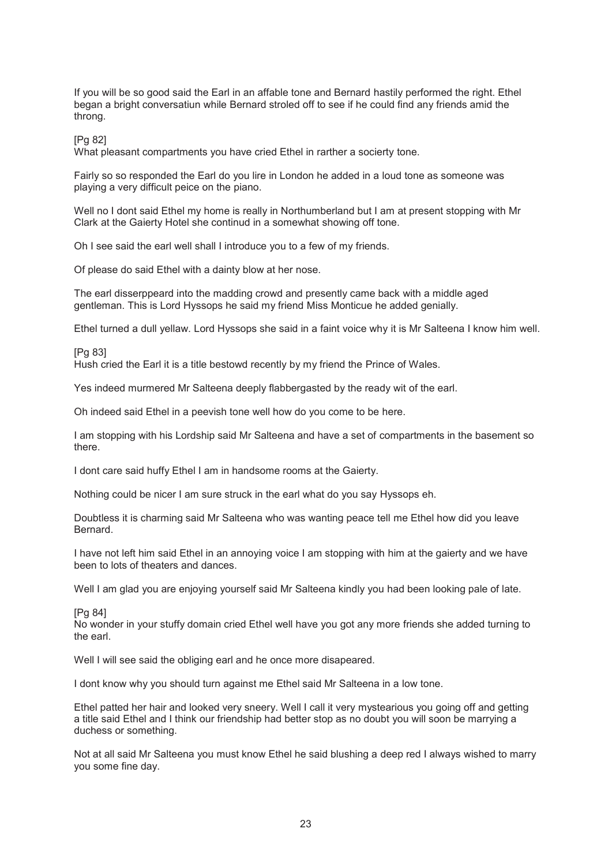If you will be so good said the Earl in an affable tone and Bernard hastily performed the right. Ethel began a bright conversatiun while Bernard stroled off to see if he could find any friends amid the throng.

[Pg 82]

What pleasant compartments you have cried Ethel in rarther a socierty tone.

Fairly so so responded the Earl do you lire in London he added in a loud tone as someone was playing a very difficult peice on the piano.

Well no I dont said Ethel my home is really in Northumberland but I am at present stopping with Mr Clark at the Gaierty Hotel she continud in a somewhat showing off tone.

Oh I see said the earl well shall I introduce you to a few of my friends.

Of please do said Ethel with a dainty blow at her nose.

The earl disserppeard into the madding crowd and presently came back with a middle aged gentleman. This is Lord Hyssops he said my friend Miss Monticue he added genially.

Ethel turned a dull yellaw. Lord Hyssops she said in a faint voice why it is Mr Salteena I know him well.

[Pg 83]

Hush cried the Earl it is a title bestowd recently by my friend the Prince of Wales.

Yes indeed murmered Mr Salteena deeply flabbergasted by the ready wit of the earl.

Oh indeed said Ethel in a peevish tone well how do you come to be here.

I am stopping with his Lordship said Mr Salteena and have a set of compartments in the basement so there.

I dont care said huffy Ethel I am in handsome rooms at the Gaierty.

Nothing could be nicer I am sure struck in the earl what do you say Hyssops eh.

Doubtless it is charming said Mr Salteena who was wanting peace tell me Ethel how did you leave Bernard.

I have not left him said Ethel in an annoying voice I am stopping with him at the gaierty and we have been to lots of theaters and dances.

Well I am glad you are enjoying yourself said Mr Salteena kindly you had been looking pale of late.

[Pg 84]

No wonder in your stuffy domain cried Ethel well have you got any more friends she added turning to the earl.

Well I will see said the obliging earl and he once more disapeared.

I dont know why you should turn against me Ethel said Mr Salteena in a low tone.

Ethel patted her hair and looked very sneery. Well I call it very mystearious you going off and getting a title said Ethel and I think our friendship had better stop as no doubt you will soon be marrying a duchess or something.

Not at all said Mr Salteena you must know Ethel he said blushing a deep red I always wished to marry you some fine day.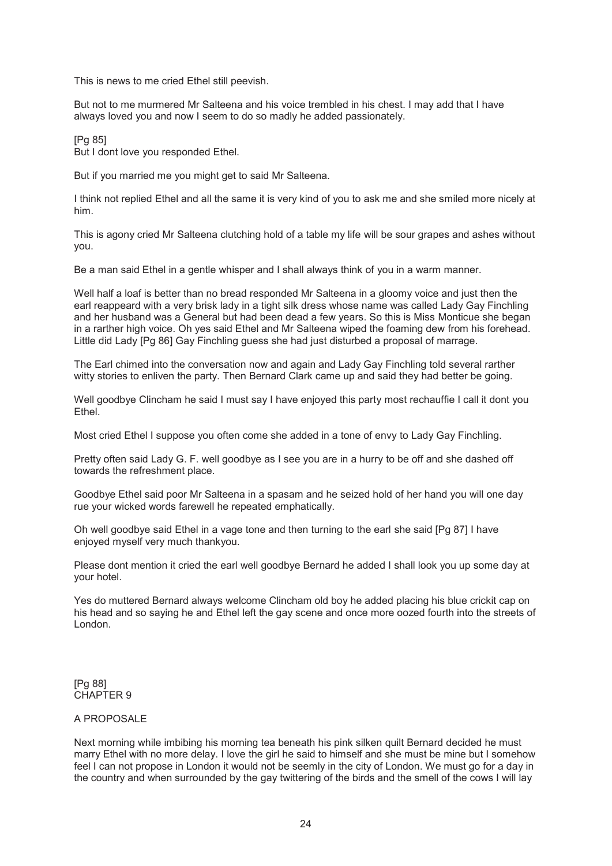This is news to me cried Ethel still peevish.

But not to me murmered Mr Salteena and his voice trembled in his chest. I may add that I have always loved you and now I seem to do so madly he added passionately.

[Pg 85] But I dont love you responded Ethel.

But if you married me you might get to said Mr Salteena.

I think not replied Ethel and all the same it is very kind of you to ask me and she smiled more nicely at him.

This is agony cried Mr Salteena clutching hold of a table my life will be sour grapes and ashes without you.

Be a man said Ethel in a gentle whisper and I shall always think of you in a warm manner.

Well half a loaf is better than no bread responded Mr Salteena in a gloomy voice and just then the earl reappeard with a very brisk lady in a tight silk dress whose name was called Lady Gay Finchling and her husband was a General but had been dead a few years. So this is Miss Monticue she began in a rarther high voice. Oh yes said Ethel and Mr Salteena wiped the foaming dew from his forehead. Little did Lady [Pg 86] Gay Finchling guess she had just disturbed a proposal of marrage.

The Earl chimed into the conversation now and again and Lady Gay Finchling told several rarther witty stories to enliven the party. Then Bernard Clark came up and said they had better be going.

Well goodbye Clincham he said I must say I have enjoyed this party most rechauffie I call it dont you **Ethel** 

Most cried Ethel I suppose you often come she added in a tone of envy to Lady Gay Finchling.

Pretty often said Lady G. F. well goodbye as I see you are in a hurry to be off and she dashed off towards the refreshment place.

Goodbye Ethel said poor Mr Salteena in a spasam and he seized hold of her hand you will one day rue your wicked words farewell he repeated emphatically.

Oh well goodbye said Ethel in a vage tone and then turning to the earl she said [Pg 87] I have enjoyed myself very much thankyou.

Please dont mention it cried the earl well goodbye Bernard he added I shall look you up some day at your hotel.

Yes do muttered Bernard always welcome Clincham old boy he added placing his blue crickit cap on his head and so saying he and Ethel left the gay scene and once more oozed fourth into the streets of London.

[Pg 88] CHAPTER 9

#### A PROPOSALE

Next morning while imbibing his morning tea beneath his pink silken quilt Bernard decided he must marry Ethel with no more delay. I love the girl he said to himself and she must be mine but I somehow feel I can not propose in London it would not be seemly in the city of London. We must go for a day in the country and when surrounded by the gay twittering of the birds and the smell of the cows I will lay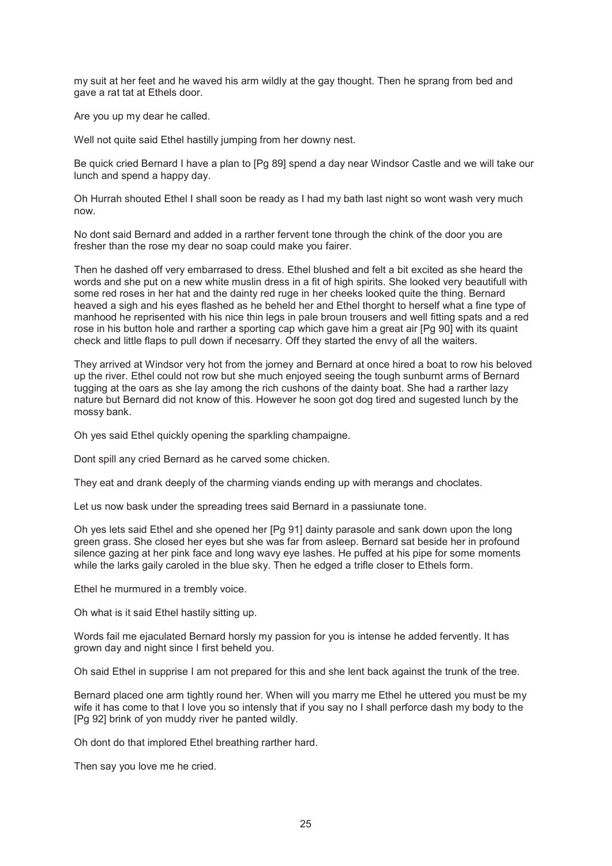my suit at her feet and he waved his arm wildly at the gay thought. Then he sprang from bed and gave a rat tat at Ethels door.

Are you up my dear he called.

Well not quite said Ethel hastilly jumping from her downy nest.

Be quick cried Bernard I have a plan to [Pg 89] spend a day near Windsor Castle and we will take our lunch and spend a happy day.

Oh Hurrah shouted Ethel I shall soon be ready as I had my bath last night so wont wash very much now.

No dont said Bernard and added in a rarther fervent tone through the chink of the door you are fresher than the rose my dear no soap could make you fairer.

Then he dashed off very embarrased to dress. Ethel blushed and felt a bit excited as she heard the words and she put on a new white muslin dress in a fit of high spirits. She looked very beautifull with some red roses in her hat and the dainty red ruge in her cheeks looked quite the thing. Bernard heaved a sigh and his eyes flashed as he beheld her and Ethel thorght to herself what a fine type of manhood he reprisented with his nice thin legs in pale broun trousers and well fitting spats and a red rose in his button hole and rarther a sporting cap which gave him a great air [Pg 90] with its quaint check and little flaps to pull down if necesarry. Off they started the envy of all the waiters.

They arrived at Windsor very hot from the jorney and Bernard at once hired a boat to row his beloved up the river. Ethel could not row but she much enjoyed seeing the tough sunburnt arms of Bernard tugging at the oars as she lay among the rich cushons of the dainty boat. She had a rarther lazy nature but Bernard did not know of this. However he soon got dog tired and sugested lunch by the mossy bank.

Oh yes said Ethel quickly opening the sparkling champaigne.

Dont spill any cried Bernard as he carved some chicken.

They eat and drank deeply of the charming viands ending up with merangs and choclates.

Let us now bask under the spreading trees said Bernard in a passiunate tone.

Oh yes lets said Ethel and she opened her [Pg 91] dainty parasole and sank down upon the long green grass. She closed her eyes but she was far from asleep. Bernard sat beside her in profound silence gazing at her pink face and long wavy eye lashes. He puffed at his pipe for some moments while the larks gaily caroled in the blue sky. Then he edged a trifle closer to Ethels form.

Ethel he murmured in a trembly voice.

Oh what is it said Ethel hastily sitting up.

Words fail me ejaculated Bernard horsly my passion for you is intense he added fervently. It has grown day and night since I first beheld you.

Oh said Ethel in supprise I am not prepared for this and she lent back against the trunk of the tree.

Bernard placed one arm tightly round her. When will you marry me Ethel he uttered you must be my wife it has come to that I love you so intensly that if you say no I shall perforce dash my body to the [Pg 92] brink of yon muddy river he panted wildly.

Oh dont do that implored Ethel breathing rarther hard.

Then say you love me he cried.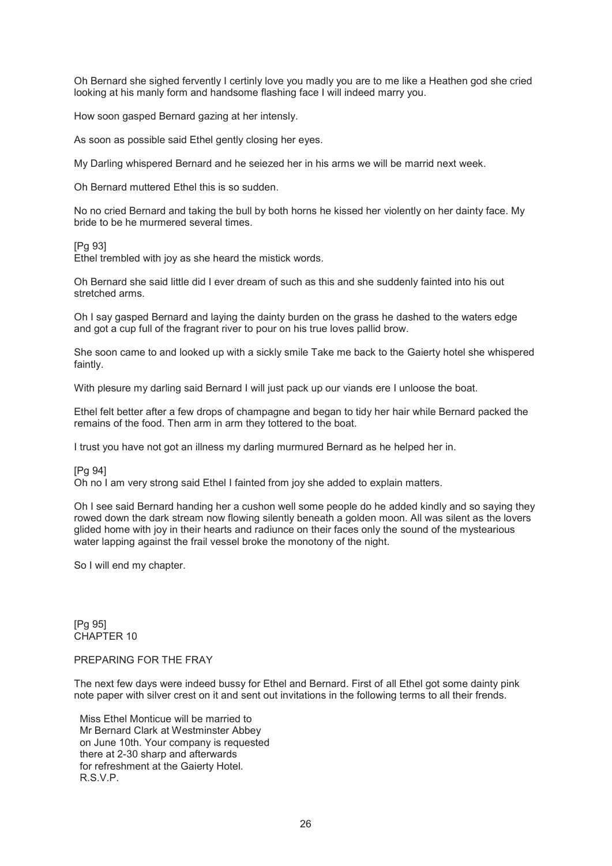Oh Bernard she sighed fervently I certinly love you madly you are to me like a Heathen god she cried looking at his manly form and handsome flashing face I will indeed marry you.

How soon gasped Bernard gazing at her intensly.

As soon as possible said Ethel gently closing her eyes.

My Darling whispered Bernard and he seiezed her in his arms we will be marrid next week.

Oh Bernard muttered Ethel this is so sudden.

No no cried Bernard and taking the bull by both horns he kissed her violently on her dainty face. My bride to be he murmered several times.

[Pg 93]

Ethel trembled with joy as she heard the mistick words.

Oh Bernard she said little did I ever dream of such as this and she suddenly fainted into his out stretched arms.

Oh I say gasped Bernard and laying the dainty burden on the grass he dashed to the waters edge and got a cup full of the fragrant river to pour on his true loves pallid brow.

She soon came to and looked up with a sickly smile Take me back to the Gaierty hotel she whispered faintly.

With plesure my darling said Bernard I will just pack up our viands ere I unloose the boat.

Ethel felt better after a few drops of champagne and began to tidy her hair while Bernard packed the remains of the food. Then arm in arm they tottered to the boat.

I trust you have not got an illness my darling murmured Bernard as he helped her in.

[Pg 94]

Oh no I am very strong said Ethel I fainted from joy she added to explain matters.

Oh I see said Bernard handing her a cushon well some people do he added kindly and so saying they rowed down the dark stream now flowing silently beneath a golden moon. All was silent as the lovers glided home with joy in their hearts and radiunce on their faces only the sound of the mystearious water lapping against the frail vessel broke the monotony of the night.

So I will end my chapter.

[Pg 95] CHAPTER 10

#### PREPARING FOR THE FRAY

The next few days were indeed bussy for Ethel and Bernard. First of all Ethel got some dainty pink note paper with silver crest on it and sent out invitations in the following terms to all their frends.

 Miss Ethel Monticue will be married to Mr Bernard Clark at Westminster Abbey on June 10th. Your company is requested there at 2-30 sharp and afterwards for refreshment at the Gaierty Hotel. R.S.V.P.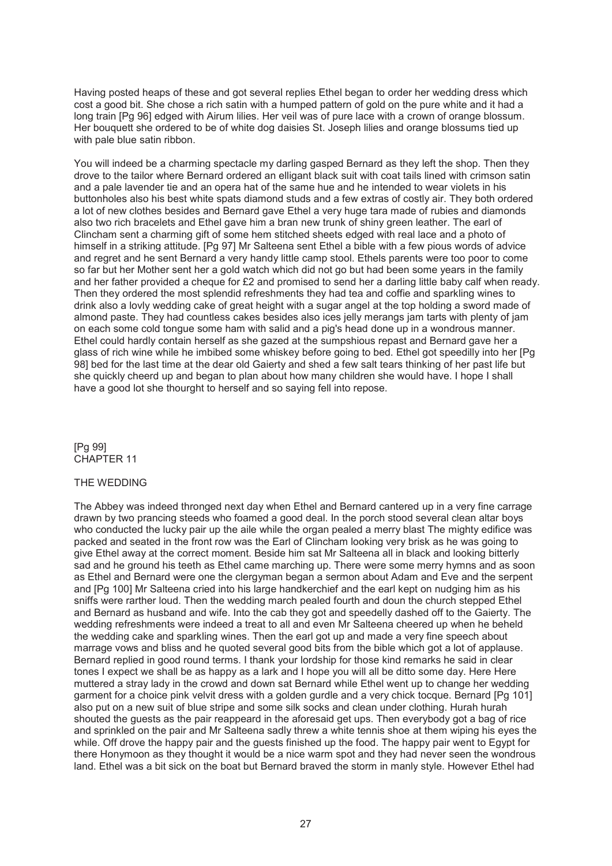Having posted heaps of these and got several replies Ethel began to order her wedding dress which cost a good bit. She chose a rich satin with a humped pattern of gold on the pure white and it had a long train [Pg 96] edged with Airum lilies. Her veil was of pure lace with a crown of orange blossum. Her bouquett she ordered to be of white dog daisies St. Joseph lilies and orange blossums tied up with pale blue satin ribbon.

You will indeed be a charming spectacle my darling gasped Bernard as they left the shop. Then they drove to the tailor where Bernard ordered an elligant black suit with coat tails lined with crimson satin and a pale lavender tie and an opera hat of the same hue and he intended to wear violets in his buttonholes also his best white spats diamond studs and a few extras of costly air. They both ordered a lot of new clothes besides and Bernard gave Ethel a very huge tara made of rubies and diamonds also two rich bracelets and Ethel gave him a bran new trunk of shiny green leather. The earl of Clincham sent a charming gift of some hem stitched sheets edged with real lace and a photo of himself in a striking attitude. [Pg 97] Mr Salteena sent Ethel a bible with a few pious words of advice and regret and he sent Bernard a very handy little camp stool. Ethels parents were too poor to come so far but her Mother sent her a gold watch which did not go but had been some years in the family and her father provided a cheque for £2 and promised to send her a darling little baby calf when ready. Then they ordered the most splendid refreshments they had tea and coffie and sparkling wines to drink also a lovly wedding cake of great height with a sugar angel at the top holding a sword made of almond paste. They had countless cakes besides also ices jelly merangs jam tarts with plenty of jam on each some cold tongue some ham with salid and a pig's head done up in a wondrous manner. Ethel could hardly contain herself as she gazed at the sumpshious repast and Bernard gave her a glass of rich wine while he imbibed some whiskey before going to bed. Ethel got speedilly into her [Pg 98] bed for the last time at the dear old Gaierty and shed a few salt tears thinking of her past life but she quickly cheerd up and began to plan about how many children she would have. I hope I shall have a good lot she thourght to herself and so saying fell into repose.

[Pg 99] CHAPTER 11

#### THE WEDDING

The Abbey was indeed thronged next day when Ethel and Bernard cantered up in a very fine carrage drawn by two prancing steeds who foamed a good deal. In the porch stood several clean altar boys who conducted the lucky pair up the aile while the organ pealed a merry blast The mighty edifice was packed and seated in the front row was the Earl of Clincham looking very brisk as he was going to give Ethel away at the correct moment. Beside him sat Mr Salteena all in black and looking bitterly sad and he ground his teeth as Ethel came marching up. There were some merry hymns and as soon as Ethel and Bernard were one the clergyman began a sermon about Adam and Eve and the serpent and [Pg 100] Mr Salteena cried into his large handkerchief and the earl kept on nudging him as his sniffs were rarther loud. Then the wedding march pealed fourth and doun the church stepped Ethel and Bernard as husband and wife. Into the cab they got and speedelly dashed off to the Gaierty. The wedding refreshments were indeed a treat to all and even Mr Salteena cheered up when he beheld the wedding cake and sparkling wines. Then the earl got up and made a very fine speech about marrage vows and bliss and he quoted several good bits from the bible which got a lot of applause. Bernard replied in good round terms. I thank your lordship for those kind remarks he said in clear tones I expect we shall be as happy as a lark and I hope you will all be ditto some day. Here Here muttered a stray lady in the crowd and down sat Bernard while Ethel went up to change her wedding garment for a choice pink velvit dress with a golden gurdle and a very chick tocque. Bernard [Pg 101] also put on a new suit of blue stripe and some silk socks and clean under clothing. Hurah hurah shouted the guests as the pair reappeard in the aforesaid get ups. Then everybody got a bag of rice and sprinkled on the pair and Mr Salteena sadly threw a white tennis shoe at them wiping his eyes the while. Off drove the happy pair and the guests finished up the food. The happy pair went to Egypt for there Honymoon as they thought it would be a nice warm spot and they had never seen the wondrous land. Ethel was a bit sick on the boat but Bernard braved the storm in manly style. However Ethel had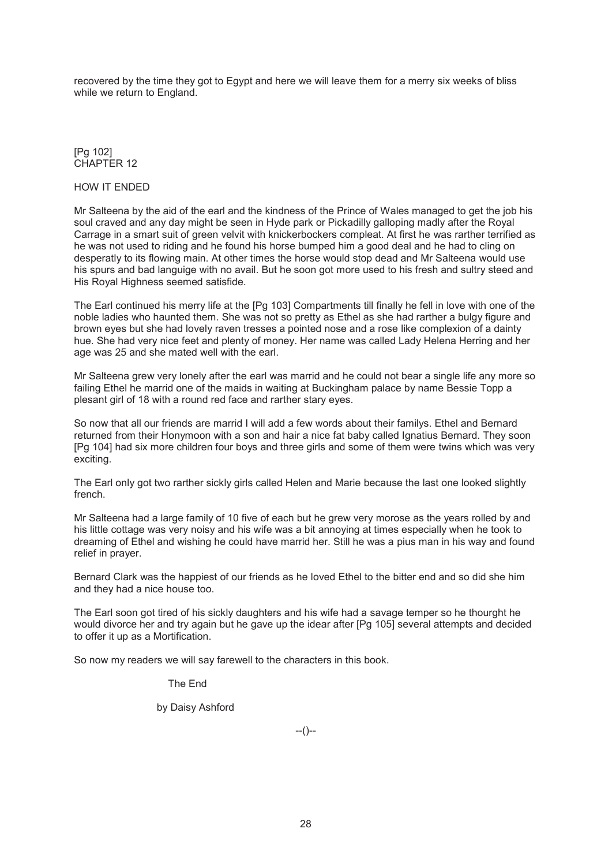recovered by the time they got to Egypt and here we will leave them for a merry six weeks of bliss while we return to England.

[Pg 102] CHAPTER 12

## HOW IT ENDED

Mr Salteena by the aid of the earl and the kindness of the Prince of Wales managed to get the job his soul craved and any day might be seen in Hyde park or Pickadilly galloping madly after the Royal Carrage in a smart suit of green velvit with knickerbockers compleat. At first he was rarther terrified as he was not used to riding and he found his horse bumped him a good deal and he had to cling on desperatly to its flowing main. At other times the horse would stop dead and Mr Salteena would use his spurs and bad languige with no avail. But he soon got more used to his fresh and sultry steed and His Royal Highness seemed satisfide.

The Earl continued his merry life at the [Pg 103] Compartments till finally he fell in love with one of the noble ladies who haunted them. She was not so pretty as Ethel as she had rarther a bulgy figure and brown eyes but she had lovely raven tresses a pointed nose and a rose like complexion of a dainty hue. She had very nice feet and plenty of money. Her name was called Lady Helena Herring and her age was 25 and she mated well with the earl.

Mr Salteena grew very lonely after the earl was marrid and he could not bear a single life any more so failing Ethel he marrid one of the maids in waiting at Buckingham palace by name Bessie Topp a plesant girl of 18 with a round red face and rarther stary eyes.

So now that all our friends are marrid I will add a few words about their familys. Ethel and Bernard returned from their Honymoon with a son and hair a nice fat baby called Ignatius Bernard. They soon [Pg 104] had six more children four boys and three girls and some of them were twins which was very exciting.

The Earl only got two rarther sickly girls called Helen and Marie because the last one looked slightly french.

Mr Salteena had a large family of 10 five of each but he grew very morose as the years rolled by and his little cottage was very noisy and his wife was a bit annoying at times especially when he took to dreaming of Ethel and wishing he could have marrid her. Still he was a pius man in his way and found relief in prayer.

Bernard Clark was the happiest of our friends as he loved Ethel to the bitter end and so did she him and they had a nice house too.

The Earl soon got tired of his sickly daughters and his wife had a savage temper so he thourght he would divorce her and try again but he gave up the idear after [Pg 105] several attempts and decided to offer it up as a Mortification.

So now my readers we will say farewell to the characters in this book.

The End

by Daisy Ashford

 $-(-)$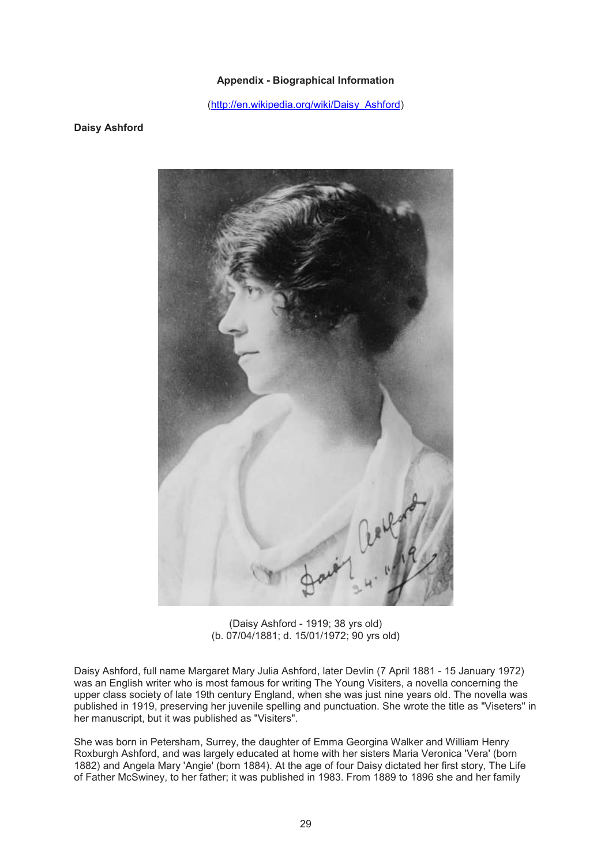## **Appendix - Biographical Information**

(http://en.wikipedia.org/wiki/Daisy\_Ashford)

### **Daisy Ashford**



(Daisy Ashford - 1919; 38 yrs old) (b. 07/04/1881; d. 15/01/1972; 90 yrs old)

Daisy Ashford, full name Margaret Mary Julia Ashford, later Devlin (7 April 1881 - 15 January 1972) was an English writer who is most famous for writing The Young Visiters, a novella concerning the upper class society of late 19th century England, when she was just nine years old. The novella was published in 1919, preserving her juvenile spelling and punctuation. She wrote the title as "Viseters" in her manuscript, but it was published as "Visiters".

She was born in Petersham, Surrey, the daughter of Emma Georgina Walker and William Henry Roxburgh Ashford, and was largely educated at home with her sisters Maria Veronica 'Vera' (born 1882) and Angela Mary 'Angie' (born 1884). At the age of four Daisy dictated her first story, The Life of Father McSwiney, to her father; it was published in 1983. From 1889 to 1896 she and her family